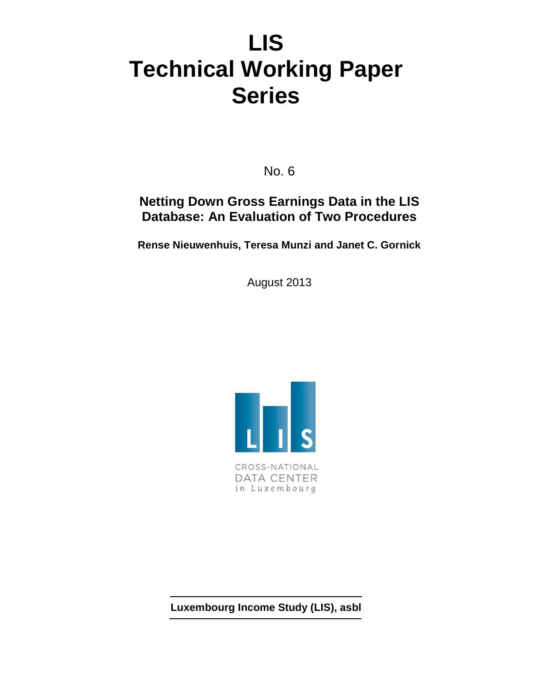# **LIS Technical Working Paper Series**

No. 6

## **Netting Down Gross Earnings Data in the LIS Database: An Evaluation of Two Procedures**

**Rense Nieuwenhuis, Teresa Munzi and Janet C. Gornick** 

August 2013



**Luxembourg Income Study (LIS), asbl**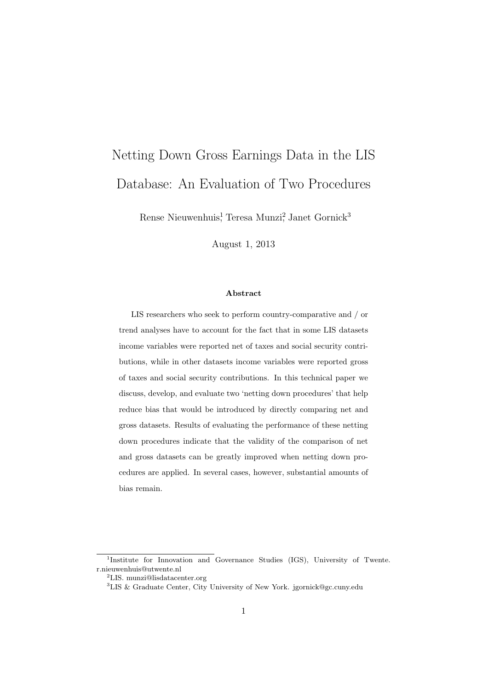# Netting Down Gross Earnings Data in the LIS Database: An Evaluation of Two Procedures

Rense Nieuwenhuis<sup>1</sup>, Teresa Munzi<sup>2</sup>, Janet Gornick<sup>3</sup>

August 1, 2013

#### Abstract

LIS researchers who seek to perform country-comparative and / or trend analyses have to account for the fact that in some LIS datasets income variables were reported net of taxes and social security contributions, while in other datasets income variables were reported gross of taxes and social security contributions. In this technical paper we discuss, develop, and evaluate two 'netting down procedures' that help reduce bias that would be introduced by directly comparing net and gross datasets. Results of evaluating the performance of these netting down procedures indicate that the validity of the comparison of net and gross datasets can be greatly improved when netting down procedures are applied. In several cases, however, substantial amounts of bias remain.

<sup>&</sup>lt;sup>1</sup>Institute for Innovation and Governance Studies (IGS), University of Twente. r.nieuwenhuis@utwente.nl

<sup>2</sup>LIS. munzi@lisdatacenter.org

<sup>3</sup>LIS & Graduate Center, City University of New York. jgornick@gc.cuny.edu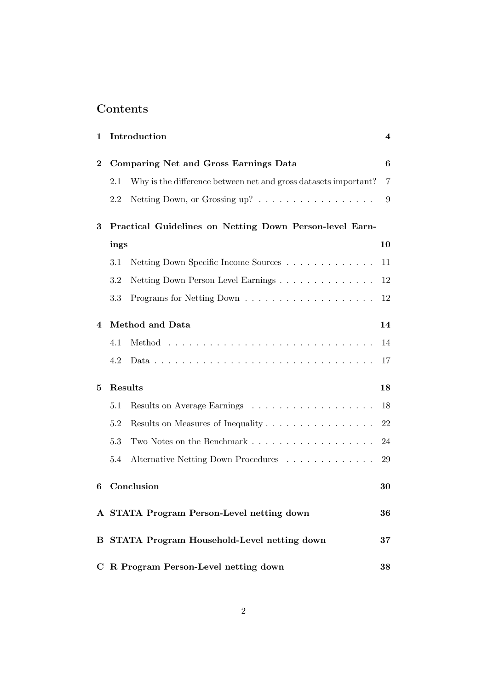## Contents

| $\mathbf 1$ |         | Introduction                                                    | 4  |
|-------------|---------|-----------------------------------------------------------------|----|
| $\bf{2}$    |         | Comparing Net and Gross Earnings Data                           | 6  |
|             | 2.1     | Why is the difference between net and gross datasets important? | 7  |
|             | 2.2     | Netting Down, or Grossing up?                                   | 9  |
| 3           |         | Practical Guidelines on Netting Down Person-level Earn-         |    |
|             | ings    |                                                                 | 10 |
|             | 3.1     | Netting Down Specific Income Sources                            | 11 |
|             | 3.2     |                                                                 | 12 |
|             | 3.3     |                                                                 | 12 |
| 4           |         | Method and Data                                                 | 14 |
|             | 4.1     |                                                                 | 14 |
|             | 4.2     |                                                                 | 17 |
| $\bf{5}$    |         | Results                                                         | 18 |
|             | $5.1\,$ |                                                                 | 18 |
|             | 5.2     | Results on Measures of Inequality                               | 22 |
|             | 5.3     | Two Notes on the Benchmark                                      | 24 |
|             | 5.4     | Alternative Netting Down Procedures                             | 29 |
| 6           |         | Conclusion                                                      | 30 |
|             |         | A STATA Program Person-Level netting down                       | 36 |
|             |         | <b>B STATA Program Household-Level netting down</b>             | 37 |
|             |         | C R Program Person-Level netting down                           | 38 |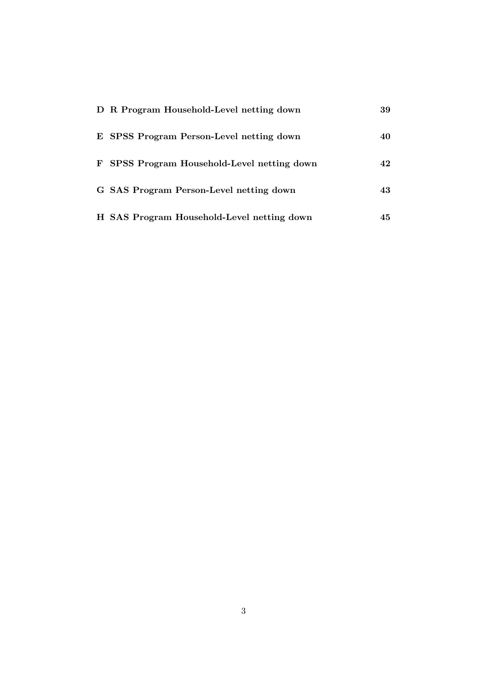| D R Program Household-Level netting down    | 39  |
|---------------------------------------------|-----|
| E SPSS Program Person-Level netting down    | 40  |
| F SPSS Program Household-Level netting down | 42  |
| G SAS Program Person-Level netting down     | 43  |
| H SAS Program Household-Level netting down  | 45. |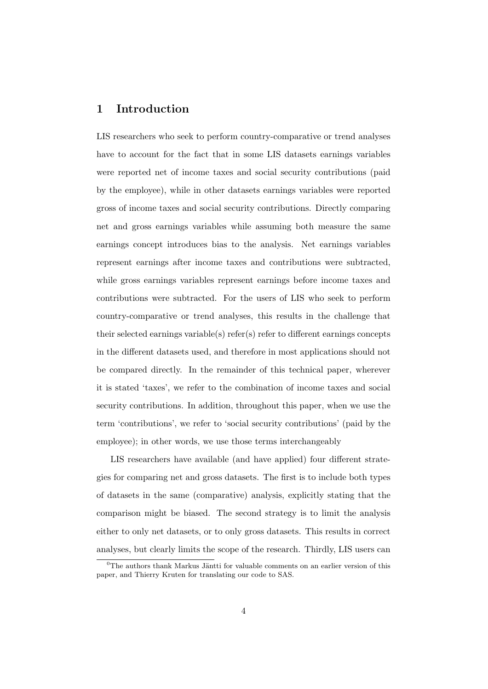## 1 Introduction

LIS researchers who seek to perform country-comparative or trend analyses have to account for the fact that in some LIS datasets earnings variables were reported net of income taxes and social security contributions (paid by the employee), while in other datasets earnings variables were reported gross of income taxes and social security contributions. Directly comparing net and gross earnings variables while assuming both measure the same earnings concept introduces bias to the analysis. Net earnings variables represent earnings after income taxes and contributions were subtracted, while gross earnings variables represent earnings before income taxes and contributions were subtracted. For the users of LIS who seek to perform country-comparative or trend analyses, this results in the challenge that their selected earnings variable(s) refer(s) refer to different earnings concepts in the different datasets used, and therefore in most applications should not be compared directly. In the remainder of this technical paper, wherever it is stated 'taxes', we refer to the combination of income taxes and social security contributions. In addition, throughout this paper, when we use the term 'contributions', we refer to 'social security contributions' (paid by the employee); in other words, we use those terms interchangeably

LIS researchers have available (and have applied) four different strategies for comparing net and gross datasets. The first is to include both types of datasets in the same (comparative) analysis, explicitly stating that the comparison might be biased. The second strategy is to limit the analysis either to only net datasets, or to only gross datasets. This results in correct analyses, but clearly limits the scope of the research. Thirdly, LIS users can

 ${}^{0}$ The authors thank Markus Jäntti for valuable comments on an earlier version of this paper, and Thierry Kruten for translating our code to SAS.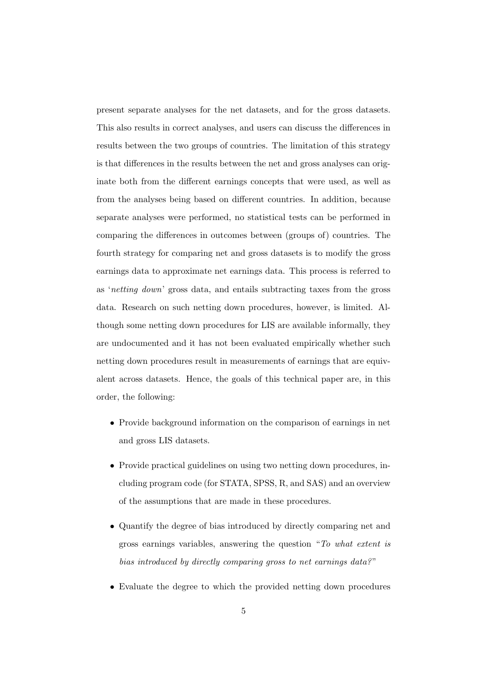present separate analyses for the net datasets, and for the gross datasets. This also results in correct analyses, and users can discuss the differences in results between the two groups of countries. The limitation of this strategy is that differences in the results between the net and gross analyses can originate both from the different earnings concepts that were used, as well as from the analyses being based on different countries. In addition, because separate analyses were performed, no statistical tests can be performed in comparing the differences in outcomes between (groups of) countries. The fourth strategy for comparing net and gross datasets is to modify the gross earnings data to approximate net earnings data. This process is referred to as 'netting down' gross data, and entails subtracting taxes from the gross data. Research on such netting down procedures, however, is limited. Although some netting down procedures for LIS are available informally, they are undocumented and it has not been evaluated empirically whether such netting down procedures result in measurements of earnings that are equivalent across datasets. Hence, the goals of this technical paper are, in this order, the following:

- Provide background information on the comparison of earnings in net and gross LIS datasets.
- Provide practical guidelines on using two netting down procedures, including program code (for STATA, SPSS, R, and SAS) and an overview of the assumptions that are made in these procedures.
- Quantify the degree of bias introduced by directly comparing net and gross earnings variables, answering the question "To what extent is bias introduced by directly comparing gross to net earnings data?"
- Evaluate the degree to which the provided netting down procedures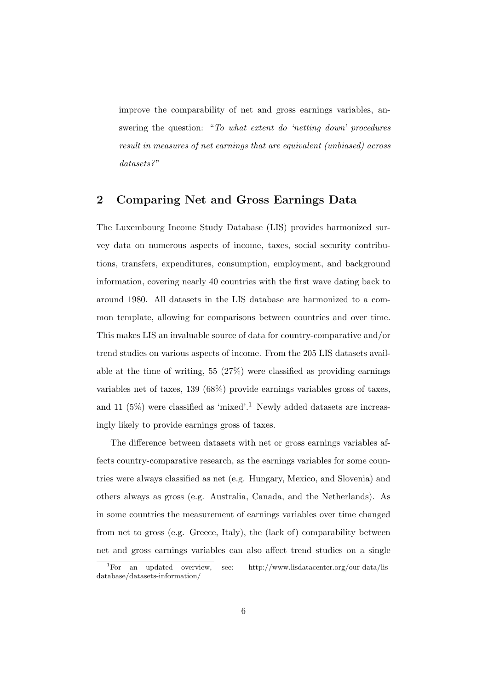improve the comparability of net and gross earnings variables, answering the question: "To what extent do 'netting down' procedures result in measures of net earnings that are equivalent (unbiased) across datasets?"

## 2 Comparing Net and Gross Earnings Data

The Luxembourg Income Study Database (LIS) provides harmonized survey data on numerous aspects of income, taxes, social security contributions, transfers, expenditures, consumption, employment, and background information, covering nearly 40 countries with the first wave dating back to around 1980. All datasets in the LIS database are harmonized to a common template, allowing for comparisons between countries and over time. This makes LIS an invaluable source of data for country-comparative and/or trend studies on various aspects of income. From the 205 LIS datasets available at the time of writing, 55 (27%) were classified as providing earnings variables net of taxes, 139 (68%) provide earnings variables gross of taxes, and 11  $(5\%)$  were classified as 'mixed'.<sup>1</sup> Newly added datasets are increasingly likely to provide earnings gross of taxes.

The difference between datasets with net or gross earnings variables affects country-comparative research, as the earnings variables for some countries were always classified as net (e.g. Hungary, Mexico, and Slovenia) and others always as gross (e.g. Australia, Canada, and the Netherlands). As in some countries the measurement of earnings variables over time changed from net to gross (e.g. Greece, Italy), the (lack of) comparability between net and gross earnings variables can also affect trend studies on a single

<sup>&</sup>lt;sup>1</sup>For an updated overview, see: http://www.lisdatacenter.org/our-data/lisdatabase/datasets-information/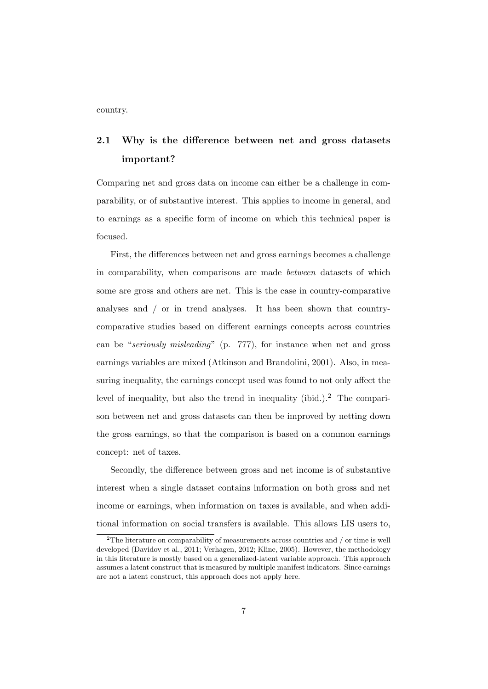country.

## 2.1 Why is the difference between net and gross datasets important?

Comparing net and gross data on income can either be a challenge in comparability, or of substantive interest. This applies to income in general, and to earnings as a specific form of income on which this technical paper is focused.

First, the differences between net and gross earnings becomes a challenge in comparability, when comparisons are made between datasets of which some are gross and others are net. This is the case in country-comparative analyses and / or in trend analyses. It has been shown that countrycomparative studies based on different earnings concepts across countries can be "seriously misleading" (p. 777), for instance when net and gross earnings variables are mixed (Atkinson and Brandolini, 2001). Also, in measuring inequality, the earnings concept used was found to not only affect the level of inequality, but also the trend in inequality (ibid.).<sup>2</sup> The comparison between net and gross datasets can then be improved by netting down the gross earnings, so that the comparison is based on a common earnings concept: net of taxes.

Secondly, the difference between gross and net income is of substantive interest when a single dataset contains information on both gross and net income or earnings, when information on taxes is available, and when additional information on social transfers is available. This allows LIS users to,

<sup>&</sup>lt;sup>2</sup>The literature on comparability of measurements across countries and  $/$  or time is well developed (Davidov et al., 2011; Verhagen, 2012; Kline, 2005). However, the methodology in this literature is mostly based on a generalized-latent variable approach. This approach assumes a latent construct that is measured by multiple manifest indicators. Since earnings are not a latent construct, this approach does not apply here.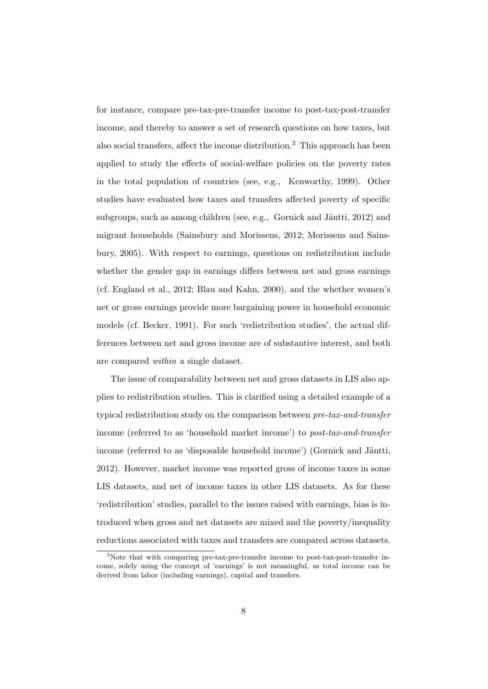for instance, compare pre-tax-pre-transfer income to post-tax-post-transfer income, and thereby to answer a set of research questions on how taxes, but also social transfers, affect the income distribution.<sup>3</sup> This approach has been applied to study the effects of social-welfare policies on the poverty rates in the total population of countries (see, e.g., Kenworthy, 1999). Other studies have evaluated how taxes and transfers affected poverty of specific subgroups, such as among children (see, e.g., Gornick and Jäntti,  $2012$ ) and migrant households (Sainsbury and Morissens, 2012; Morissens and Sainsbury, 2005). With respect to earnings, questions on redistribution include whether the gender gap in earnings differs between net and gross earnings (cf. England et al., 2012; Blau and Kahn, 2000), and the whether women's net or gross earnings provide more bargaining power in household economic models (cf. Becker, 1991). For such 'redistribution studies', the actual differences between net and gross income are of substantive interest, and both are compared within a single dataset.

The issue of comparability between net and gross datasets in LIS also applies to redistribution studies. This is clarified using a detailed example of a typical redistribution study on the comparison between pre-tax-and-transfer income (referred to as 'household market income') to post-tax-and-transfer income (referred to as 'disposable household income') (Gornick and Jäntti, 2012). However, market income was reported gross of income taxes in some LIS datasets, and net of income taxes in other LIS datasets. As for these 'redistribution' studies, parallel to the issues raised with earnings, bias is introduced when gross and net datasets are mixed and the poverty/inequality reductions associated with taxes and transfers are compared across datasets.

<sup>&</sup>lt;sup>3</sup>Note that with comparing pre-tax-pre-transfer income to post-tax-post-transfer income, solely using the concept of 'earnings' is not meaningful, as total income can be derived from labor (including earnings), capital and transfers.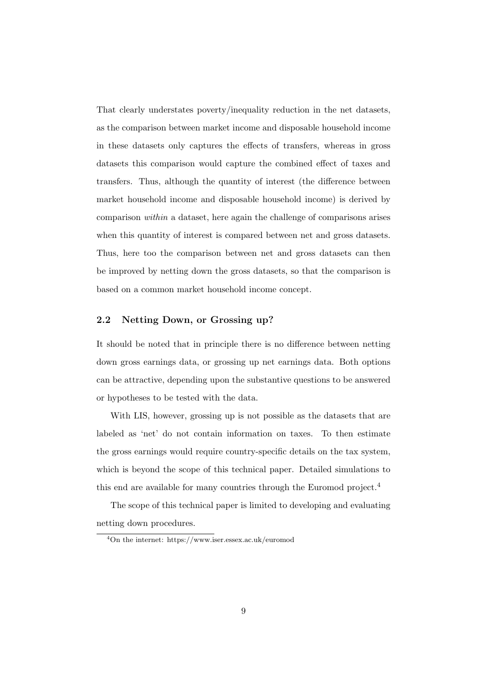That clearly understates poverty/inequality reduction in the net datasets, as the comparison between market income and disposable household income in these datasets only captures the effects of transfers, whereas in gross datasets this comparison would capture the combined effect of taxes and transfers. Thus, although the quantity of interest (the difference between market household income and disposable household income) is derived by comparison within a dataset, here again the challenge of comparisons arises when this quantity of interest is compared between net and gross datasets. Thus, here too the comparison between net and gross datasets can then be improved by netting down the gross datasets, so that the comparison is based on a common market household income concept.

#### 2.2 Netting Down, or Grossing up?

It should be noted that in principle there is no difference between netting down gross earnings data, or grossing up net earnings data. Both options can be attractive, depending upon the substantive questions to be answered or hypotheses to be tested with the data.

With LIS, however, grossing up is not possible as the datasets that are labeled as 'net' do not contain information on taxes. To then estimate the gross earnings would require country-specific details on the tax system, which is beyond the scope of this technical paper. Detailed simulations to this end are available for many countries through the Euromod project.<sup>4</sup>

The scope of this technical paper is limited to developing and evaluating netting down procedures.

<sup>4</sup>On the internet: https://www.iser.essex.ac.uk/euromod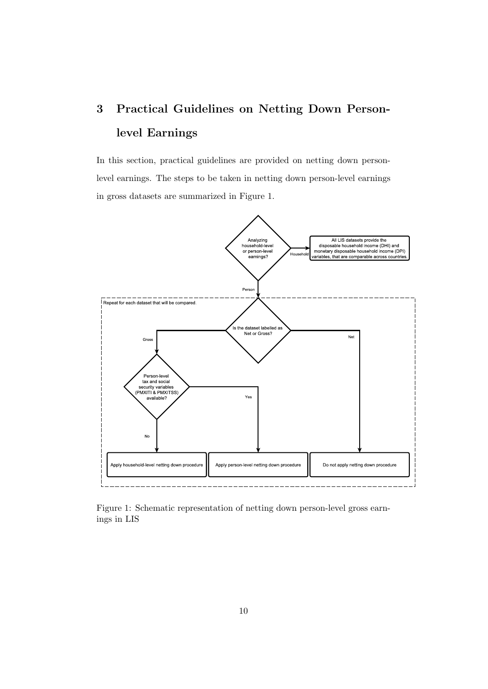# 3 Practical Guidelines on Netting Down Personlevel Earnings

In this section, practical guidelines are provided on netting down personlevel earnings. The steps to be taken in netting down person-level earnings in gross datasets are summarized in Figure 1.



Figure 1: Schematic representation of netting down person-level gross earnings in LIS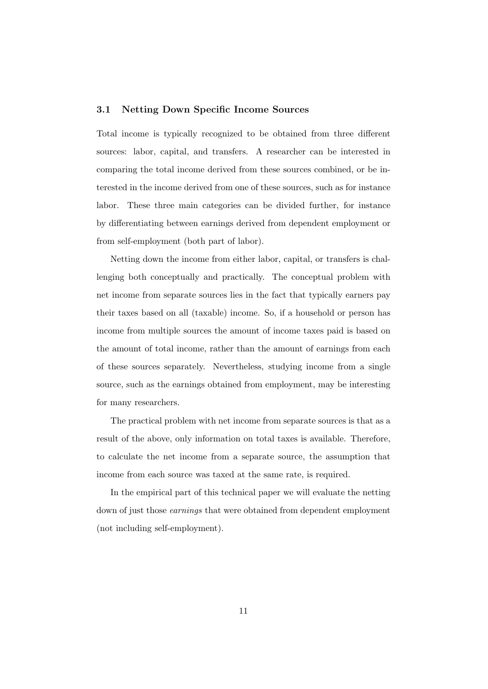#### 3.1 Netting Down Specific Income Sources

Total income is typically recognized to be obtained from three different sources: labor, capital, and transfers. A researcher can be interested in comparing the total income derived from these sources combined, or be interested in the income derived from one of these sources, such as for instance labor. These three main categories can be divided further, for instance by differentiating between earnings derived from dependent employment or from self-employment (both part of labor).

Netting down the income from either labor, capital, or transfers is challenging both conceptually and practically. The conceptual problem with net income from separate sources lies in the fact that typically earners pay their taxes based on all (taxable) income. So, if a household or person has income from multiple sources the amount of income taxes paid is based on the amount of total income, rather than the amount of earnings from each of these sources separately. Nevertheless, studying income from a single source, such as the earnings obtained from employment, may be interesting for many researchers.

The practical problem with net income from separate sources is that as a result of the above, only information on total taxes is available. Therefore, to calculate the net income from a separate source, the assumption that income from each source was taxed at the same rate, is required.

In the empirical part of this technical paper we will evaluate the netting down of just those earnings that were obtained from dependent employment (not including self-employment).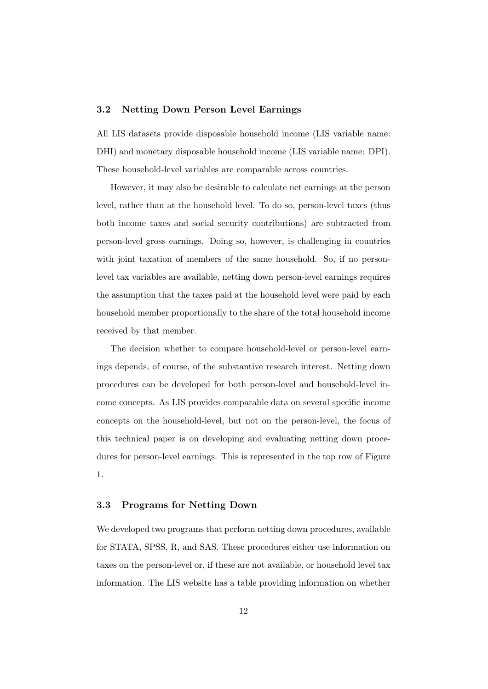#### 3.2 Netting Down Person Level Earnings

All LIS datasets provide disposable household income (LIS variable name: DHI) and monetary disposable household income (LIS variable name: DPI). These household-level variables are comparable across countries.

However, it may also be desirable to calculate net earnings at the person level, rather than at the household level. To do so, person-level taxes (thus both income taxes and social security contributions) are subtracted from person-level gross earnings. Doing so, however, is challenging in countries with joint taxation of members of the same household. So, if no personlevel tax variables are available, netting down person-level earnings requires the assumption that the taxes paid at the household level were paid by each household member proportionally to the share of the total household income received by that member.

The decision whether to compare household-level or person-level earnings depends, of course, of the substantive research interest. Netting down procedures can be developed for both person-level and household-level income concepts. As LIS provides comparable data on several specific income concepts on the household-level, but not on the person-level, the focus of this technical paper is on developing and evaluating netting down procedures for person-level earnings. This is represented in the top row of Figure 1.

#### 3.3 Programs for Netting Down

We developed two programs that perform netting down procedures, available for STATA, SPSS, R, and SAS. These procedures either use information on taxes on the person-level or, if these are not available, or household level tax information. The LIS website has a table providing information on whether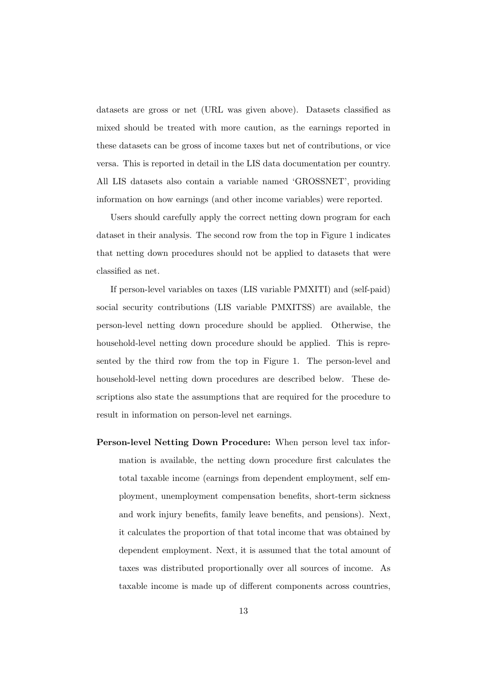datasets are gross or net (URL was given above). Datasets classified as mixed should be treated with more caution, as the earnings reported in these datasets can be gross of income taxes but net of contributions, or vice versa. This is reported in detail in the LIS data documentation per country. All LIS datasets also contain a variable named 'GROSSNET', providing information on how earnings (and other income variables) were reported.

Users should carefully apply the correct netting down program for each dataset in their analysis. The second row from the top in Figure 1 indicates that netting down procedures should not be applied to datasets that were classified as net.

If person-level variables on taxes (LIS variable PMXITI) and (self-paid) social security contributions (LIS variable PMXITSS) are available, the person-level netting down procedure should be applied. Otherwise, the household-level netting down procedure should be applied. This is represented by the third row from the top in Figure 1. The person-level and household-level netting down procedures are described below. These descriptions also state the assumptions that are required for the procedure to result in information on person-level net earnings.

Person-level Netting Down Procedure: When person level tax information is available, the netting down procedure first calculates the total taxable income (earnings from dependent employment, self employment, unemployment compensation benefits, short-term sickness and work injury benefits, family leave benefits, and pensions). Next, it calculates the proportion of that total income that was obtained by dependent employment. Next, it is assumed that the total amount of taxes was distributed proportionally over all sources of income. As taxable income is made up of different components across countries,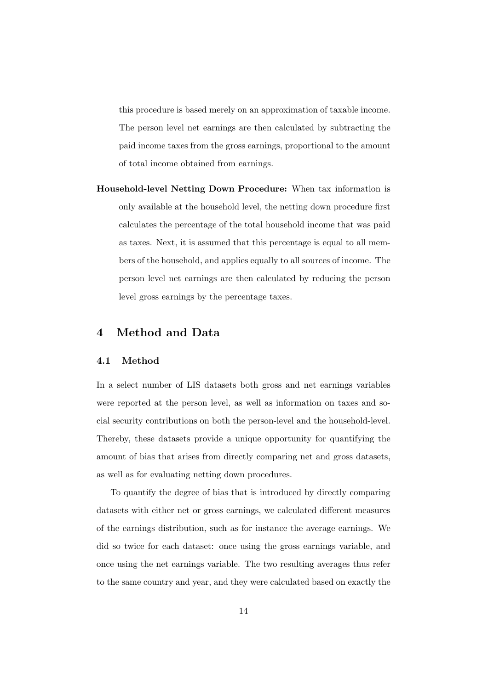this procedure is based merely on an approximation of taxable income. The person level net earnings are then calculated by subtracting the paid income taxes from the gross earnings, proportional to the amount of total income obtained from earnings.

Household-level Netting Down Procedure: When tax information is only available at the household level, the netting down procedure first calculates the percentage of the total household income that was paid as taxes. Next, it is assumed that this percentage is equal to all members of the household, and applies equally to all sources of income. The person level net earnings are then calculated by reducing the person level gross earnings by the percentage taxes.

### 4 Method and Data

#### 4.1 Method

In a select number of LIS datasets both gross and net earnings variables were reported at the person level, as well as information on taxes and social security contributions on both the person-level and the household-level. Thereby, these datasets provide a unique opportunity for quantifying the amount of bias that arises from directly comparing net and gross datasets, as well as for evaluating netting down procedures.

To quantify the degree of bias that is introduced by directly comparing datasets with either net or gross earnings, we calculated different measures of the earnings distribution, such as for instance the average earnings. We did so twice for each dataset: once using the gross earnings variable, and once using the net earnings variable. The two resulting averages thus refer to the same country and year, and they were calculated based on exactly the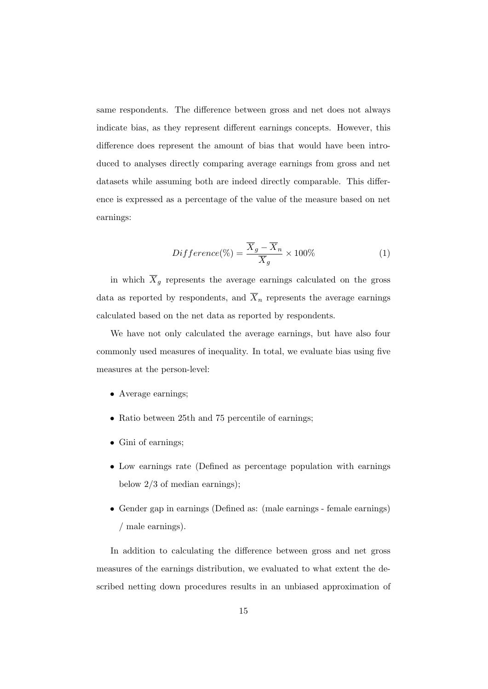same respondents. The difference between gross and net does not always indicate bias, as they represent different earnings concepts. However, this difference does represent the amount of bias that would have been introduced to analyses directly comparing average earnings from gross and net datasets while assuming both are indeed directly comparable. This difference is expressed as a percentage of the value of the measure based on net earnings:

$$
Difference(\% ) = \frac{\overline{X}_g - \overline{X}_n}{\overline{X}_g} \times 100\%
$$
 (1)

in which  $\overline{X}_g$  represents the average earnings calculated on the gross data as reported by respondents, and  $\overline{X}_n$  represents the average earnings calculated based on the net data as reported by respondents.

We have not only calculated the average earnings, but have also four commonly used measures of inequality. In total, we evaluate bias using five measures at the person-level:

- Average earnings;
- Ratio between 25th and 75 percentile of earnings;
- Gini of earnings;
- Low earnings rate (Defined as percentage population with earnings below 2/3 of median earnings);
- Gender gap in earnings (Defined as: (male earnings female earnings) / male earnings).

In addition to calculating the difference between gross and net gross measures of the earnings distribution, we evaluated to what extent the described netting down procedures results in an unbiased approximation of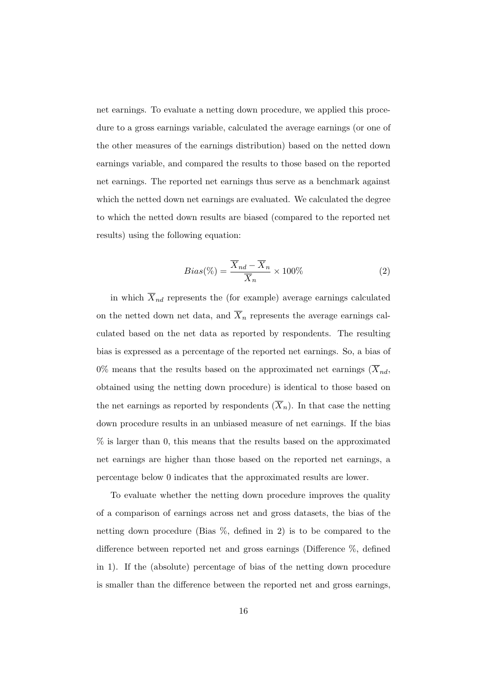net earnings. To evaluate a netting down procedure, we applied this procedure to a gross earnings variable, calculated the average earnings (or one of the other measures of the earnings distribution) based on the netted down earnings variable, and compared the results to those based on the reported net earnings. The reported net earnings thus serve as a benchmark against which the netted down net earnings are evaluated. We calculated the degree to which the netted down results are biased (compared to the reported net results) using the following equation:

$$
Bias(\%) = \frac{\overline{X}_{nd} - \overline{X}_n}{\overline{X}_n} \times 100\%
$$
 (2)

in which  $\overline{X}_{nd}$  represents the (for example) average earnings calculated on the netted down net data, and  $\overline{X}_n$  represents the average earnings calculated based on the net data as reported by respondents. The resulting bias is expressed as a percentage of the reported net earnings. So, a bias of  $0\%$  means that the results based on the approximated net earnings  $(X_{nd},$ obtained using the netting down procedure) is identical to those based on the net earnings as reported by respondents  $(\overline{X}_n)$ . In that case the netting down procedure results in an unbiased measure of net earnings. If the bias % is larger than 0, this means that the results based on the approximated net earnings are higher than those based on the reported net earnings, a percentage below 0 indicates that the approximated results are lower.

To evaluate whether the netting down procedure improves the quality of a comparison of earnings across net and gross datasets, the bias of the netting down procedure (Bias %, defined in 2) is to be compared to the difference between reported net and gross earnings (Difference %, defined in 1). If the (absolute) percentage of bias of the netting down procedure is smaller than the difference between the reported net and gross earnings,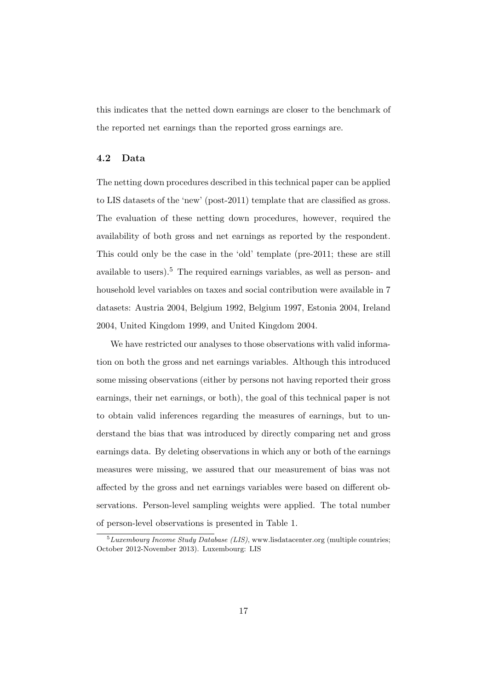this indicates that the netted down earnings are closer to the benchmark of the reported net earnings than the reported gross earnings are.

#### 4.2 Data

The netting down procedures described in this technical paper can be applied to LIS datasets of the 'new' (post-2011) template that are classified as gross. The evaluation of these netting down procedures, however, required the availability of both gross and net earnings as reported by the respondent. This could only be the case in the 'old' template (pre-2011; these are still available to users).<sup>5</sup> The required earnings variables, as well as person- and household level variables on taxes and social contribution were available in 7 datasets: Austria 2004, Belgium 1992, Belgium 1997, Estonia 2004, Ireland 2004, United Kingdom 1999, and United Kingdom 2004.

We have restricted our analyses to those observations with valid information on both the gross and net earnings variables. Although this introduced some missing observations (either by persons not having reported their gross earnings, their net earnings, or both), the goal of this technical paper is not to obtain valid inferences regarding the measures of earnings, but to understand the bias that was introduced by directly comparing net and gross earnings data. By deleting observations in which any or both of the earnings measures were missing, we assured that our measurement of bias was not affected by the gross and net earnings variables were based on different observations. Person-level sampling weights were applied. The total number of person-level observations is presented in Table 1.

 ${}^{5}$ Luxembourg Income Study Database (LIS), www.lisdatacenter.org (multiple countries; October 2012-November 2013). Luxembourg: LIS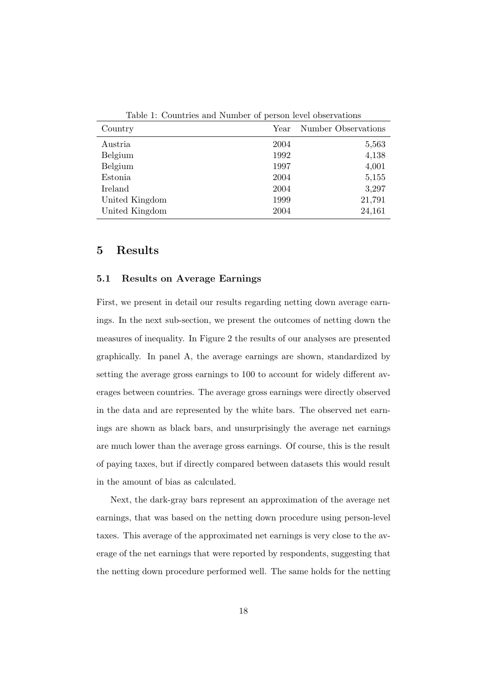| Country        | Year | Number Observations |
|----------------|------|---------------------|
| Austria        | 2004 | 5,563               |
| Belgium        | 1992 | 4,138               |
| Belgium        | 1997 | 4,001               |
| Estonia        | 2004 | 5,155               |
| Ireland        | 2004 | 3,297               |
| United Kingdom | 1999 | 21,791              |
| United Kingdom | 2004 | 24,161              |
|                |      |                     |

Table 1: Countries and Number of person level observations

#### 5 Results

#### 5.1 Results on Average Earnings

First, we present in detail our results regarding netting down average earnings. In the next sub-section, we present the outcomes of netting down the measures of inequality. In Figure 2 the results of our analyses are presented graphically. In panel A, the average earnings are shown, standardized by setting the average gross earnings to 100 to account for widely different averages between countries. The average gross earnings were directly observed in the data and are represented by the white bars. The observed net earnings are shown as black bars, and unsurprisingly the average net earnings are much lower than the average gross earnings. Of course, this is the result of paying taxes, but if directly compared between datasets this would result in the amount of bias as calculated.

Next, the dark-gray bars represent an approximation of the average net earnings, that was based on the netting down procedure using person-level taxes. This average of the approximated net earnings is very close to the average of the net earnings that were reported by respondents, suggesting that the netting down procedure performed well. The same holds for the netting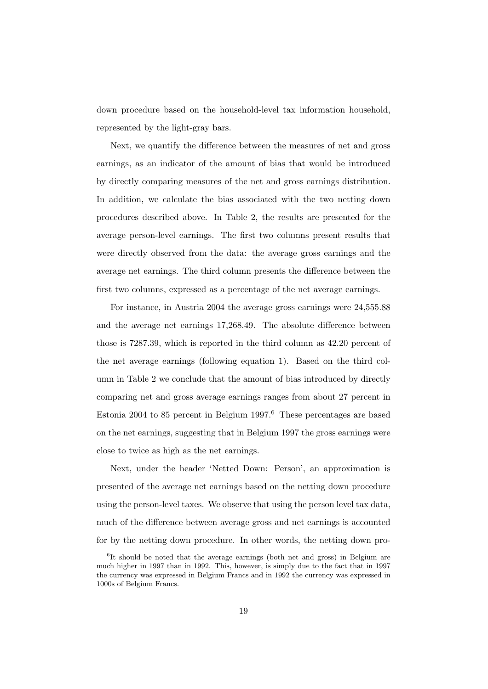down procedure based on the household-level tax information household, represented by the light-gray bars.

Next, we quantify the difference between the measures of net and gross earnings, as an indicator of the amount of bias that would be introduced by directly comparing measures of the net and gross earnings distribution. In addition, we calculate the bias associated with the two netting down procedures described above. In Table 2, the results are presented for the average person-level earnings. The first two columns present results that were directly observed from the data: the average gross earnings and the average net earnings. The third column presents the difference between the first two columns, expressed as a percentage of the net average earnings.

For instance, in Austria 2004 the average gross earnings were 24,555.88 and the average net earnings 17,268.49. The absolute difference between those is 7287.39, which is reported in the third column as 42.20 percent of the net average earnings (following equation 1). Based on the third column in Table 2 we conclude that the amount of bias introduced by directly comparing net and gross average earnings ranges from about 27 percent in Estonia 2004 to 85 percent in Belgium 1997.<sup>6</sup> These percentages are based on the net earnings, suggesting that in Belgium 1997 the gross earnings were close to twice as high as the net earnings.

Next, under the header 'Netted Down: Person', an approximation is presented of the average net earnings based on the netting down procedure using the person-level taxes. We observe that using the person level tax data, much of the difference between average gross and net earnings is accounted for by the netting down procedure. In other words, the netting down pro-

<sup>&</sup>lt;sup>6</sup>It should be noted that the average earnings (both net and gross) in Belgium are much higher in 1997 than in 1992. This, however, is simply due to the fact that in 1997 the currency was expressed in Belgium Francs and in 1992 the currency was expressed in 1000s of Belgium Francs.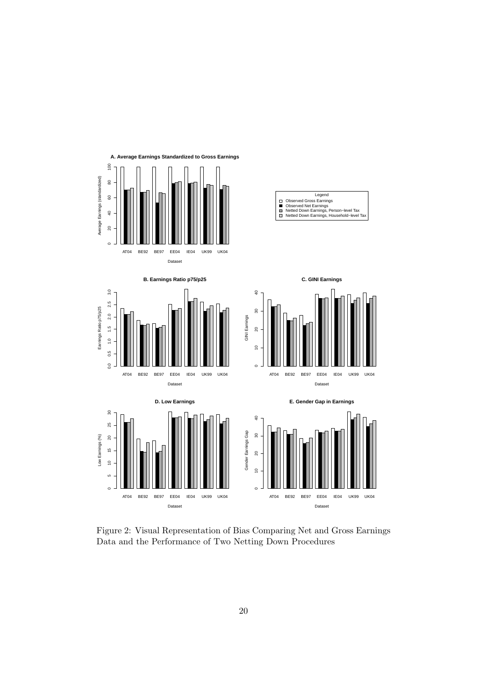

Figure 2: Visual Representation of Bias Comparing Net and Gross Earnings Data and the Performance of Two Netting Down Procedures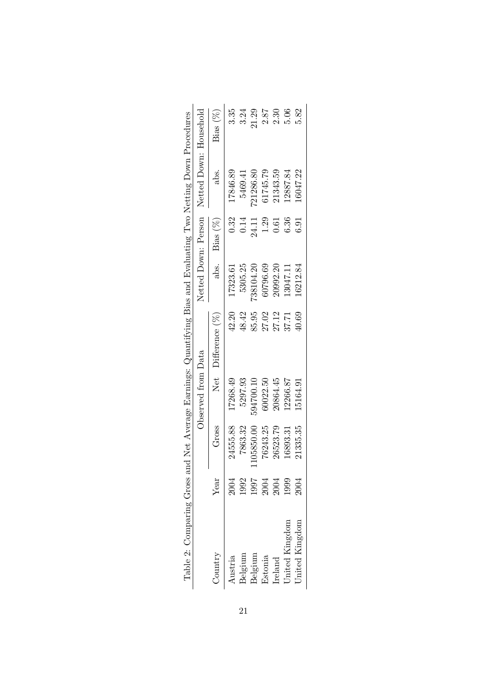| Table 2: Comparing Gross and Net Average Earnings: Quantifying Bias and Evaluating Two Netting Down Procedures |                                            |            |                    |                     |           |             |                                            |          |
|----------------------------------------------------------------------------------------------------------------|--------------------------------------------|------------|--------------------|---------------------|-----------|-------------|--------------------------------------------|----------|
|                                                                                                                |                                            |            | Observed from Data |                     |           |             | Netted Down: Person Netted Down: Household |          |
| Country                                                                                                        | Year                                       | Gross      |                    | Net $Difference(%)$ | abs.      | Bias $(\%)$ | abs.                                       | Bias (%) |
| Austria                                                                                                        | 2004                                       | 24555.88   | 17268.49           | 42.20               | 17323.61  | 0.32        | 17846.89                                   | 3.35     |
| Belgium                                                                                                        | 1992                                       | 7863.32    | 5297.93            | 48.42               | 5305.25   | 0.14        | 5469.41                                    | 3.24     |
| Belgium                                                                                                        |                                            | 1105850.00 | 594700.10          | 85.95               | 738104.20 | 24.11       | 721286.80                                  | 21.29    |
| Estonia                                                                                                        |                                            | 76243.25   | 60022.50           | 27.02               | 60796.69  | 1.29        | 61745.79                                   | 2.87     |
| Ireland                                                                                                        | $\frac{1997}{2004}$<br>$\frac{2004}{1999}$ | 26523.79   | 20864.45           | 27.12               | 20992.20  | 0.61        | 21343.59                                   | 2.30     |
| Jnited Kingdom                                                                                                 |                                            | 16893.31   | 12266.87           | 37.71               | 13047.11  | 6.36        | 12887.84                                   | 5.06     |
| Jnited Kingdom                                                                                                 | 2004                                       | 21335.35   | 15164.91           | 40.69               | 16212.84  | 6.91        | 16047.22                                   | 5.82     |
|                                                                                                                |                                            |            |                    |                     |           |             |                                            |          |

| )<br>)<br>l<br>ĺ<br>l                                                                                                                                                                                                                                |  |
|------------------------------------------------------------------------------------------------------------------------------------------------------------------------------------------------------------------------------------------------------|--|
| :<br>$\vdots$<br>$\overline{a}$<br>$\overline{\phantom{a}}$<br>I                                                                                                                                                                                     |  |
| )                                                                                                                                                                                                                                                    |  |
| ĺ<br>la de la construction de la construction de la construction de la construction de la construction de la construction de la construction de la construction de la construction de la construction de la construction de la cons<br>$\vdots$<br>l |  |
| l<br>)<br>l<br>$\overline{\phantom{a}}$                                                                                                                                                                                                              |  |
| $\ddot{\phantom{a}}$<br>$\frac{1}{2}$<br>ľ                                                                                                                                                                                                           |  |
| j                                                                                                                                                                                                                                                    |  |
| י <sup>י</sup><br>ĺ<br>١<br><b>Continued and</b><br>)<br>$\frac{1}{2}$                                                                                                                                                                               |  |
| l                                                                                                                                                                                                                                                    |  |
|                                                                                                                                                                                                                                                      |  |
| i                                                                                                                                                                                                                                                    |  |
| i<br>֕<br>)<br>i<br>ì                                                                                                                                                                                                                                |  |
| I<br>١<br>j<br>֕                                                                                                                                                                                                                                     |  |
| ĺ<br>l                                                                                                                                                                                                                                               |  |
| S is a controller of the controller of the controller of the controller of the controller of the controller of the controller of the controller of the controller of the controller of the controller of the controller of the                       |  |
| ζ<br>I<br>J<br>ł                                                                                                                                                                                                                                     |  |
| Ì<br>)<br>֠<br>i<br>ׇׇ֖֚֚֚֘֕<br>l<br>֚<br>֕                                                                                                                                                                                                          |  |
| ١<br>ί                                                                                                                                                                                                                                               |  |
| l<br>י<br>l<br>l<br>j<br>I                                                                                                                                                                                                                           |  |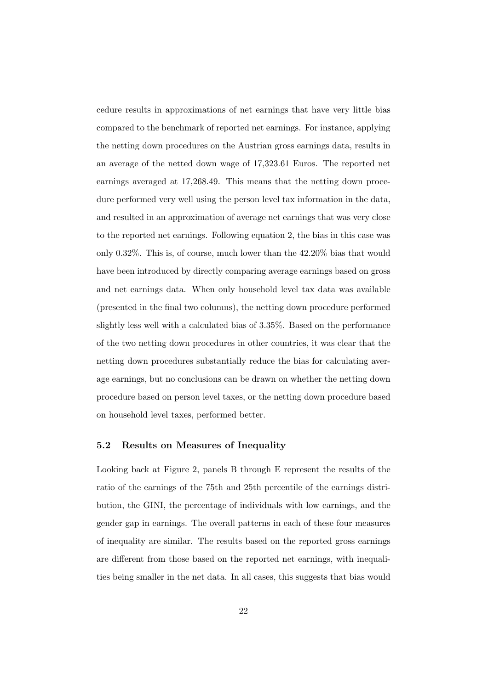cedure results in approximations of net earnings that have very little bias compared to the benchmark of reported net earnings. For instance, applying the netting down procedures on the Austrian gross earnings data, results in an average of the netted down wage of 17,323.61 Euros. The reported net earnings averaged at 17,268.49. This means that the netting down procedure performed very well using the person level tax information in the data, and resulted in an approximation of average net earnings that was very close to the reported net earnings. Following equation 2, the bias in this case was only 0.32%. This is, of course, much lower than the 42.20% bias that would have been introduced by directly comparing average earnings based on gross and net earnings data. When only household level tax data was available (presented in the final two columns), the netting down procedure performed slightly less well with a calculated bias of 3.35%. Based on the performance of the two netting down procedures in other countries, it was clear that the netting down procedures substantially reduce the bias for calculating average earnings, but no conclusions can be drawn on whether the netting down procedure based on person level taxes, or the netting down procedure based on household level taxes, performed better.

#### 5.2 Results on Measures of Inequality

Looking back at Figure 2, panels B through E represent the results of the ratio of the earnings of the 75th and 25th percentile of the earnings distribution, the GINI, the percentage of individuals with low earnings, and the gender gap in earnings. The overall patterns in each of these four measures of inequality are similar. The results based on the reported gross earnings are different from those based on the reported net earnings, with inequalities being smaller in the net data. In all cases, this suggests that bias would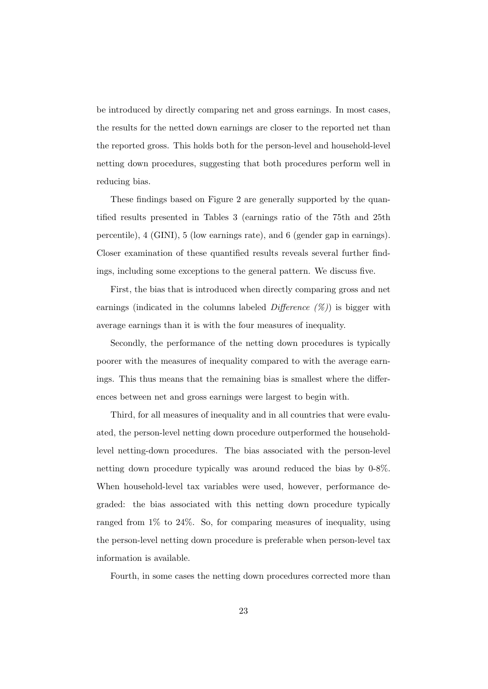be introduced by directly comparing net and gross earnings. In most cases, the results for the netted down earnings are closer to the reported net than the reported gross. This holds both for the person-level and household-level netting down procedures, suggesting that both procedures perform well in reducing bias.

These findings based on Figure 2 are generally supported by the quantified results presented in Tables 3 (earnings ratio of the 75th and 25th percentile), 4 (GINI), 5 (low earnings rate), and 6 (gender gap in earnings). Closer examination of these quantified results reveals several further findings, including some exceptions to the general pattern. We discuss five.

First, the bias that is introduced when directly comparing gross and net earnings (indicated in the columns labeled *Difference*  $(\%)$ ) is bigger with average earnings than it is with the four measures of inequality.

Secondly, the performance of the netting down procedures is typically poorer with the measures of inequality compared to with the average earnings. This thus means that the remaining bias is smallest where the differences between net and gross earnings were largest to begin with.

Third, for all measures of inequality and in all countries that were evaluated, the person-level netting down procedure outperformed the householdlevel netting-down procedures. The bias associated with the person-level netting down procedure typically was around reduced the bias by 0-8%. When household-level tax variables were used, however, performance degraded: the bias associated with this netting down procedure typically ranged from 1% to 24%. So, for comparing measures of inequality, using the person-level netting down procedure is preferable when person-level tax information is available.

Fourth, in some cases the netting down procedures corrected more than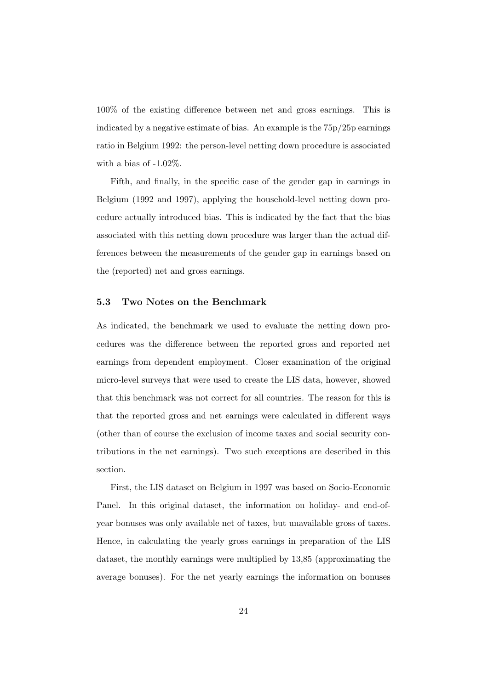100% of the existing difference between net and gross earnings. This is indicated by a negative estimate of bias. An example is the 75p/25p earnings ratio in Belgium 1992: the person-level netting down procedure is associated with a bias of  $-1.02\%$ .

Fifth, and finally, in the specific case of the gender gap in earnings in Belgium (1992 and 1997), applying the household-level netting down procedure actually introduced bias. This is indicated by the fact that the bias associated with this netting down procedure was larger than the actual differences between the measurements of the gender gap in earnings based on the (reported) net and gross earnings.

#### 5.3 Two Notes on the Benchmark

As indicated, the benchmark we used to evaluate the netting down procedures was the difference between the reported gross and reported net earnings from dependent employment. Closer examination of the original micro-level surveys that were used to create the LIS data, however, showed that this benchmark was not correct for all countries. The reason for this is that the reported gross and net earnings were calculated in different ways (other than of course the exclusion of income taxes and social security contributions in the net earnings). Two such exceptions are described in this section.

First, the LIS dataset on Belgium in 1997 was based on Socio-Economic Panel. In this original dataset, the information on holiday- and end-ofyear bonuses was only available net of taxes, but unavailable gross of taxes. Hence, in calculating the yearly gross earnings in preparation of the LIS dataset, the monthly earnings were multiplied by 13,85 (approximating the average bonuses). For the net yearly earnings the information on bonuses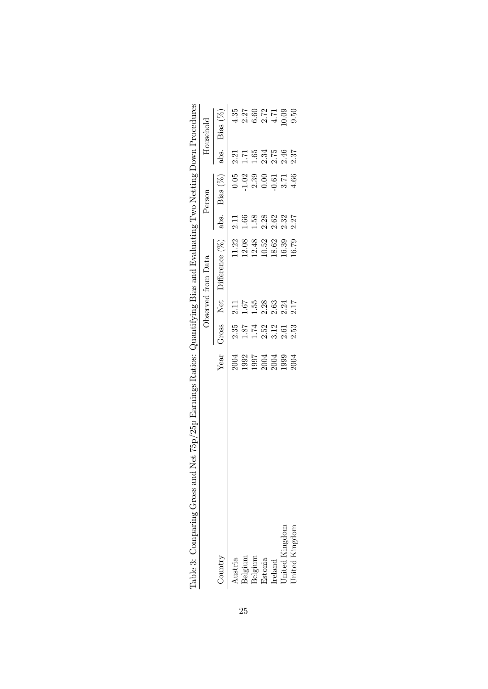| Net (bp/2bp Earnings Ratios: Quantilying Bias and Evaluating Two Netting Down Procedures<br>Lable 3: Comparing Gross and |                                      |                                                |                                             |                    |                  |                                                                          |                  |                                  |
|--------------------------------------------------------------------------------------------------------------------------|--------------------------------------|------------------------------------------------|---------------------------------------------|--------------------|------------------|--------------------------------------------------------------------------|------------------|----------------------------------|
|                                                                                                                          |                                      |                                                |                                             | Observed from Data |                  | Person                                                                   |                  | Household                        |
| Country                                                                                                                  | Year                                 | Gross                                          | Net                                         | Difference $(\%)$  | abs.             | Bias $(\%)$                                                              | abs.             | $Bias (\%)$                      |
| Austria                                                                                                                  |                                      |                                                |                                             |                    | 2.11             |                                                                          |                  |                                  |
| Belgium                                                                                                                  |                                      | $\begin{array}{c} 2.35 \\ 1.87 \end{array}$    | $\begin{array}{c} 2.11 \\ 1.67 \end{array}$ | 11.22<br>12.08     | 1.66             | $\begin{array}{c} 0.05 \\ -1.02 \\ 2.39 \\ 0.00 \\ -0.61 \\ \end{array}$ | $2.21$<br>$1.71$ |                                  |
| Belgium                                                                                                                  |                                      |                                                | 1.55                                        | 12.48              | 1.58             |                                                                          | $1.65\,$         |                                  |
| Estonia                                                                                                                  |                                      |                                                |                                             | 10.52              |                  |                                                                          | 2.34             |                                  |
| Ireland                                                                                                                  |                                      |                                                | $2.28$<br>$2.63$                            | 18.62              | $2.28$<br>$2.62$ |                                                                          | 2.75             |                                  |
| United Kingdom                                                                                                           | 2004<br>1992<br>1997<br>2004<br>2004 | $1.74$<br>$1.52$<br>$1.53$<br>$0.53$<br>$0.53$ | $2.24$<br>$2.17$                            | 16.39              | 2.32             |                                                                          | 2.46             | 227 1000<br>227 1000<br>227 1000 |
| United Kingdom                                                                                                           |                                      |                                                |                                             | 16.79              | 2.27             | 4.66                                                                     | 2.37             |                                  |

| ١<br>I<br>l<br>ľ<br>l<br>$\frac{1}{2}$<br>l<br>5<br>$\mathbf{C}$<br>くく<br>į<br>١<br>Ş<br>I<br>i<br>Ì<br>l<br>i<br>S<br>Ş<br>ı<br>i<br>)<br>Ì | I<br>)<br> <br> <br> <br>)<br>i a compo<br>i<br>Samud Sa<br>ĺ<br>$\frac{1}{2}$ |
|----------------------------------------------------------------------------------------------------------------------------------------------|--------------------------------------------------------------------------------|
| J<br>j<br>l                                                                                                                                  |                                                                                |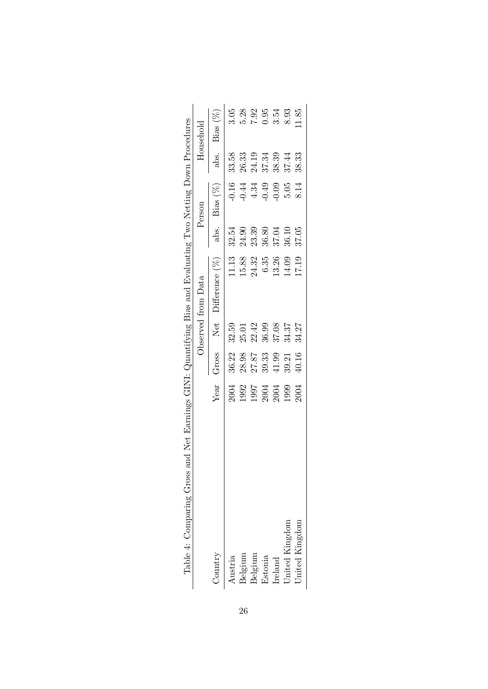| Table 4: Comparing Gross |                              |       |       | and Net Earnings GINI: Quantifying Bias and Evaluating Two Netting Down Procedures |       |                    |       |                |
|--------------------------|------------------------------|-------|-------|------------------------------------------------------------------------------------|-------|--------------------|-------|----------------|
|                          |                              |       |       | Observed from Data                                                                 |       | Person             |       | Household      |
| Country                  | Year                         | Gross |       | Net Difference (%)                                                                 | abs.  | Bias $(\%)$        | abs.  | Bias (%)       |
| Austria                  |                              | 36.22 | 32.59 | 11.13                                                                              | 32.54 |                    | 33.58 | 3.05           |
| Belgium                  | 2004<br>1992                 | 28.98 | 25.01 | 15.88                                                                              | 24.90 | $-0.16$<br>$-0.44$ | 26.33 | 5.28           |
| Belgium                  |                              | 27.87 | 22.42 | 24.32                                                                              | 23.39 | $4.34\,$           | 24.19 |                |
| Estonia                  | 1997<br>2004<br>2004<br>1999 | 39.33 | 36.99 | $6.35\,$                                                                           | 36.80 | $-0.49$            | 37.34 | $7.92$<br>0.95 |
| Ireland                  |                              | 41.99 | 37.08 | 13.26                                                                              | 37.04 | $-0.09$            | 38.39 | 3.54           |
| <b>Jnited Kingdom</b>    |                              | 39.21 | 34.37 | 14.09                                                                              | 36.10 | 5.05               | 37.44 | 8.93           |
| United Kingdom           | 2004                         | 40.16 | 34.27 | 17.19                                                                              | 37.05 | 8.14               | 38.33 | 1.85           |
|                          |                              |       |       |                                                                                    |       |                    |       |                |

| J                                                                                                        |
|----------------------------------------------------------------------------------------------------------|
|                                                                                                          |
|                                                                                                          |
|                                                                                                          |
|                                                                                                          |
| ׇ֚֬֡֡                                                                                                    |
|                                                                                                          |
|                                                                                                          |
|                                                                                                          |
|                                                                                                          |
| ׇ֚֓֡                                                                                                     |
|                                                                                                          |
|                                                                                                          |
|                                                                                                          |
|                                                                                                          |
|                                                                                                          |
| l                                                                                                        |
|                                                                                                          |
| S and the control                                                                                        |
|                                                                                                          |
|                                                                                                          |
| l                                                                                                        |
|                                                                                                          |
| ֧֖֖֖֧ׅ֪ׅ֖֧ׅ֧֪֧֪ׅ֪֧֪֧֪֪֪֪֪֪֪֪֪֧֪ׅ֧֚֚֚֚֚֚֚֚֚֚֚֚֚֚֚֚֚֚֚֚֚֚֚֚֚֚֚֚֚֚֚֚֚֝֝֝֝֝֝֬֓֞֝֬֝֬֓֬֝֬֝֬֝                   |
| ļ                                                                                                        |
| ֖֖֖֖֖֪ׅ֖֧ׅ֪ׅׅׅ֖֚֚֚֚֚֚֚֚֚֚֚֚֚֚֚֚֚֚֚֚֬֝֝֝֝֝֬֝֬֝֬                                                           |
|                                                                                                          |
|                                                                                                          |
|                                                                                                          |
|                                                                                                          |
|                                                                                                          |
|                                                                                                          |
|                                                                                                          |
|                                                                                                          |
|                                                                                                          |
|                                                                                                          |
| ֖֖֖֖֖֧ׅׅ֖֧֪ׅ֖֧ׅ֪֪ׅ֖֧֪ׅ֪֪֪֪֪֪֪֪֪֪֪֪֪֪֪֪֪֪֪֪֪֪֪֪֪֪֪֚֚֚֚֚֚֚֚֚֚֚֚֚֚֚֚֚֚֚֚֚֚֚֚֚֚֚֚֬֝֝֝֬֓֝֓֝֬֓֬֝֓֬<br>ׇׅ֚֘֝֬֝֬ |
|                                                                                                          |
|                                                                                                          |
|                                                                                                          |
|                                                                                                          |
|                                                                                                          |
|                                                                                                          |
|                                                                                                          |
|                                                                                                          |
| l                                                                                                        |
| ١                                                                                                        |
| i                                                                                                        |
| i<br>ׇ֚֘֝֬֝֬                                                                                             |
| ļ<br>j<br>$\overline{\phantom{a}}$                                                                       |
| i<br>j<br>$\frac{1}{2}$                                                                                  |
| l<br>١                                                                                                   |
|                                                                                                          |
| l                                                                                                        |
| ١                                                                                                        |
| i                                                                                                        |
| $\frac{1}{2}$<br>İ                                                                                       |
|                                                                                                          |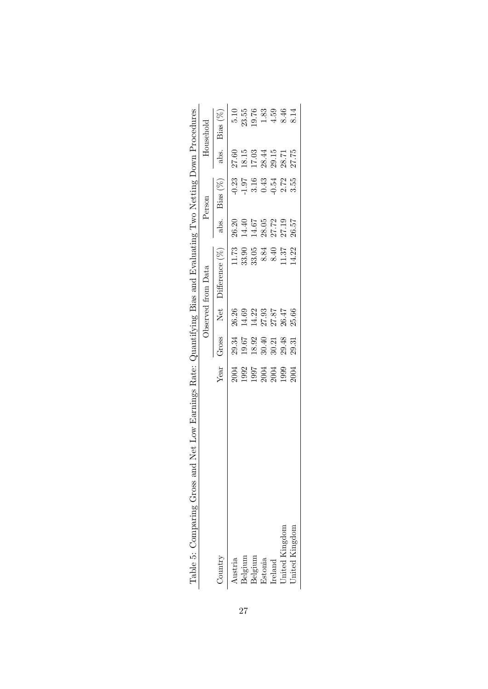|                                                                                                                 | Household          | Bias $(\%)$<br>abs. | 5.10<br>27.60 | 18.15   | $23.55$<br>$19.76$<br>17.03 | 1.83<br>28.44                                                                      | 4.59<br>29.15 | 8.46                  | 8.14<br>27.75  |
|-----------------------------------------------------------------------------------------------------------------|--------------------|---------------------|---------------|---------|-----------------------------|------------------------------------------------------------------------------------|---------------|-----------------------|----------------|
|                                                                                                                 | Person             | Bias $(\%)$         |               |         |                             | 23<br>0.5 1 9 3 4 5<br>0 - 1 3 0 0 0 1                                             |               |                       | 3.55           |
|                                                                                                                 |                    | abs.                |               |         |                             | 26.20<br>14.40<br>14.67<br>28.05                                                   |               | 27.72<br>27.19        | 26.57          |
|                                                                                                                 | Observed from Data | Difference $(\%)$   |               |         |                             | $\begin{array}{c} 11.73 \\ 33.90 \\ 33.05 \\ 8.84 \\ 0.40 \\ 11.37 \\ \end{array}$ |               |                       | 4.22           |
|                                                                                                                 |                    | Net                 | 26.26         | 14.69   | 14.22                       | 27.93                                                                              | 27.87         | 26.47                 | 25.66          |
|                                                                                                                 |                    | Gross               |               |         |                             | $29.34$<br>$19.67$<br>$18.92$<br>$30.40$<br>$30.21$<br>$29.48$                     |               |                       | 29.31          |
| Table 5: Comparing Gross and Net Low Earnings Rate: Quantifying Bias and Evaluating Two Netting Down Procedures |                    | Year                |               |         |                             | 2004<br>1992<br>1992<br>2004<br>2004                                               |               |                       |                |
|                                                                                                                 |                    | Country             | Austria       | Belgium | Belgium                     | Estonia                                                                            | Ireland       | <b>Jnited Kingdom</b> | United Kingdom |

|                          | ֕                                                             |
|--------------------------|---------------------------------------------------------------|
|                          |                                                               |
|                          |                                                               |
|                          |                                                               |
| I                        | $\overline{\phantom{a}}$                                      |
|                          |                                                               |
|                          | ֖֖֖֖֖֖֧ׅ֖ׅ֖֪ׅ֖֧ׅ֚֚֚֚֚֚֚֚֚֚֚֚֚֚֚֚֚֚֚֚֚֚֚֚֚֚֚֚֬֝֝֓֞֝֬֓֬֝֓֬֝֬֝֬  |
|                          |                                                               |
|                          |                                                               |
|                          |                                                               |
|                          |                                                               |
|                          | i                                                             |
|                          | ֕                                                             |
|                          |                                                               |
|                          | i                                                             |
|                          | j                                                             |
|                          |                                                               |
|                          | $\ddot{\phantom{0}}$                                          |
|                          |                                                               |
|                          |                                                               |
|                          |                                                               |
|                          | S Contractor                                                  |
|                          |                                                               |
|                          |                                                               |
|                          |                                                               |
| $\overline{\phantom{a}}$ | ֕                                                             |
|                          |                                                               |
|                          | ׇ֚֕֕֡                                                         |
|                          |                                                               |
|                          |                                                               |
|                          |                                                               |
|                          |                                                               |
|                          |                                                               |
|                          |                                                               |
|                          |                                                               |
|                          |                                                               |
|                          |                                                               |
|                          |                                                               |
|                          | i                                                             |
|                          |                                                               |
|                          | ֖֖֖֖֧ׅ֖֖֧ׅ֖֧ׅ֖֧֖֖֧֚֚֚֚֚֚֚֚֚֚֚֚֚֚֚֚֚֚֚֚֚֚֚֚֚֚֚֚֚֚֚֚֚֚֚֬֝֝֝֬֝֬֝ |
|                          | i                                                             |
|                          | j                                                             |
|                          |                                                               |
|                          |                                                               |
|                          | ١                                                             |
|                          | <br> <br> <br>י                                               |
|                          |                                                               |
|                          |                                                               |
|                          |                                                               |
|                          |                                                               |
|                          | .<br>.<br>.                                                   |
|                          |                                                               |
|                          | Ę<br>í                                                        |
|                          | $\frac{1}{2}$<br>i                                            |
|                          | J                                                             |
|                          | J                                                             |
|                          |                                                               |
|                          | ֕                                                             |
|                          | $\overline{\phantom{a}}$<br>J<br>١                            |
|                          | l                                                             |
|                          | i<br>١<br>l                                                   |
|                          |                                                               |
|                          |                                                               |
|                          |                                                               |
|                          |                                                               |
|                          | ֘֒<br>į                                                       |
| I                        | ì<br>ׇ֚֓֡                                                     |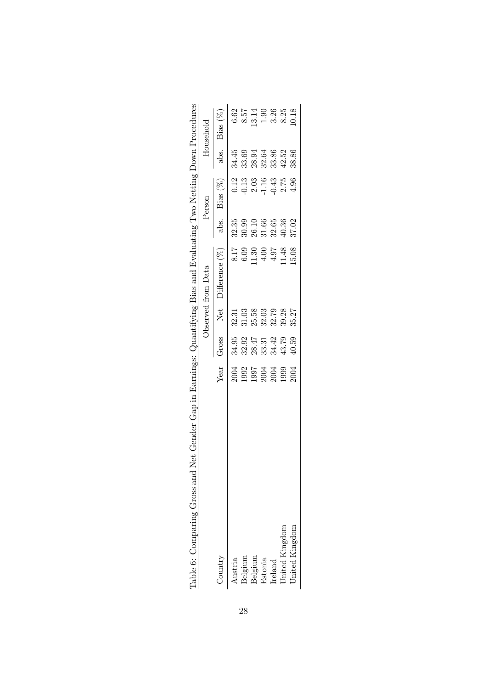| Net Gender Gap in Earnings: (<br>Pable 6: Comparing Gross and |                                              |                            |           | Quantifying Bias and Evaluating Two Netting Down 1 |                            |                                                                                                                                                                                                                                                                                                               |       | Procedures                   |
|---------------------------------------------------------------|----------------------------------------------|----------------------------|-----------|----------------------------------------------------|----------------------------|---------------------------------------------------------------------------------------------------------------------------------------------------------------------------------------------------------------------------------------------------------------------------------------------------------------|-------|------------------------------|
|                                                               |                                              |                            |           | Observed from Data                                 |                            | Person                                                                                                                                                                                                                                                                                                        |       | Household                    |
| Country                                                       | Year                                         | Gross                      | Net       | Differentence (%)                                  | abs.                       | $Bias(\%)$                                                                                                                                                                                                                                                                                                    | abs.  | Bias (%)                     |
| Austria                                                       |                                              | 34.95                      | 32.31     |                                                    |                            |                                                                                                                                                                                                                                                                                                               | 34.45 |                              |
| Belgium                                                       | 2004<br>1992<br>1997<br>2004<br>2004<br>2009 |                            | $31.03\,$ | $8.17$<br>$6.09$<br>$1.30$<br>$4.9$<br>$4.9$       | 32.35<br>30.90<br>30.31.66 | $\begin{array}{c} 0.12 \\ 0.13 \\ 0.03 \\ 1.16 \\ 0.75 \\ 2.75 \\ 0.13 \\ 0.14 \\ 0.75 \\ 0.75 \\ 0.75 \\ 0.75 \\ 0.75 \\ 0.75 \\ 0.75 \\ 0.75 \\ 0.75 \\ 0.75 \\ 0.75 \\ 0.75 \\ 0.75 \\ 0.75 \\ 0.75 \\ 0.75 \\ 0.75 \\ 0.75 \\ 0.75 \\ 0.75 \\ 0.75 \\ 0.75 \\ 0.75 \\ 0.75 \\ 0.75 \\ 0.75 \\ 0.75 \\ 0.$ | 33.69 | 62<br>6.57 1988<br>6.88 1989 |
| Belgium                                                       |                                              |                            | 25.58     |                                                    |                            |                                                                                                                                                                                                                                                                                                               | 28.94 |                              |
| Estonia                                                       |                                              | 32.97<br>38.47<br>38.31.42 | 32.03     |                                                    |                            |                                                                                                                                                                                                                                                                                                               | 32.64 |                              |
| Ireland                                                       |                                              |                            | 32.79     |                                                    |                            |                                                                                                                                                                                                                                                                                                               | 33.86 |                              |
| United Kingdom                                                |                                              | 43.79                      | 39.28     | .1.48                                              | $32.65$<br>40.36           |                                                                                                                                                                                                                                                                                                               | 42.52 |                              |
| United Kingdom                                                | 2004                                         | 10.59                      | 35.27     | 15.08                                              | 37.02                      | 4.96                                                                                                                                                                                                                                                                                                          | 38.86 |                              |

|   | Į                                                             |
|---|---------------------------------------------------------------|
|   | J                                                             |
|   |                                                               |
|   |                                                               |
|   |                                                               |
|   |                                                               |
|   |                                                               |
|   |                                                               |
|   | I                                                             |
|   | י                                                             |
|   |                                                               |
|   |                                                               |
|   | i                                                             |
|   | l                                                             |
| ļ |                                                               |
|   | ֘֝֕                                                           |
|   | ١                                                             |
|   | ֖֖֖֖֧ׅ֖֖֧ׅ֖֧ׅ֖֧֖֖֧֚֚֚֚֚֚֚֚֚֚֚֚֚֚֚֚֚֚֚֚֚֚֚֚֚֚֚֚֚֚֚֚֚֚֚֬֝֝֝֬֝֬֝ |
|   |                                                               |
|   |                                                               |
|   |                                                               |
|   |                                                               |
|   |                                                               |
|   |                                                               |
|   |                                                               |
|   |                                                               |
|   |                                                               |
|   |                                                               |
|   | J                                                             |
|   |                                                               |
|   | ׇ֚֕֕֡<br>j                                                    |
|   |                                                               |
|   |                                                               |
|   |                                                               |
|   |                                                               |
|   |                                                               |
|   | ۱                                                             |
|   |                                                               |
|   |                                                               |
|   | ļ                                                             |
|   |                                                               |
|   |                                                               |
|   |                                                               |
|   |                                                               |
|   |                                                               |
| ļ | ֚֚֚                                                           |
|   |                                                               |
|   |                                                               |
|   | $\frac{1}{2}$                                                 |
|   |                                                               |
|   | l                                                             |
|   | ֧֧֧ׅ֧֧֧֧֧֧֧֧֧֧֚֚֚֚֚֚֚֚֚֚֚֚֚֚֚֚֚֚֚֚֚֚֚֝֝֓֡֝֬֝֓֝֬֝֓֝֓֝֬֝֬֝֬֝֬֝֬ |
|   |                                                               |
|   |                                                               |
|   | l                                                             |
|   |                                                               |
|   |                                                               |
|   |                                                               |
|   |                                                               |
|   |                                                               |
|   |                                                               |
|   |                                                               |
|   |                                                               |
|   |                                                               |
|   |                                                               |
|   |                                                               |
|   |                                                               |
|   |                                                               |
|   |                                                               |
|   |                                                               |
|   |                                                               |
|   |                                                               |
|   |                                                               |
|   |                                                               |
|   |                                                               |
|   |                                                               |
|   |                                                               |
|   | j                                                             |
|   |                                                               |
|   | í                                                             |
|   |                                                               |
|   |                                                               |
|   |                                                               |
|   |                                                               |
|   |                                                               |
|   | 1                                                             |
|   |                                                               |
|   |                                                               |
|   | i<br>ì                                                        |
|   |                                                               |
|   |                                                               |
|   | l<br>J                                                        |
|   | l                                                             |
|   | i                                                             |
| Ì |                                                               |
|   |                                                               |
|   |                                                               |
|   |                                                               |
|   | $\frac{1}{2}$<br>i                                            |
|   | ļ<br>֘֒<br>l                                                  |
|   | j                                                             |
|   | l                                                             |
|   | ֪֪֦֖֚֡֝֬֝֟֟<br>ׇ֚֕֡                                           |
|   | J<br>l                                                        |
|   |                                                               |
|   |                                                               |
|   |                                                               |
|   | ١                                                             |
|   | ׇ֚֬֓֕֬֓֬֝֬֝֬<br>l                                             |
|   |                                                               |
|   | l<br>Į                                                        |
|   | j                                                             |
|   | I                                                             |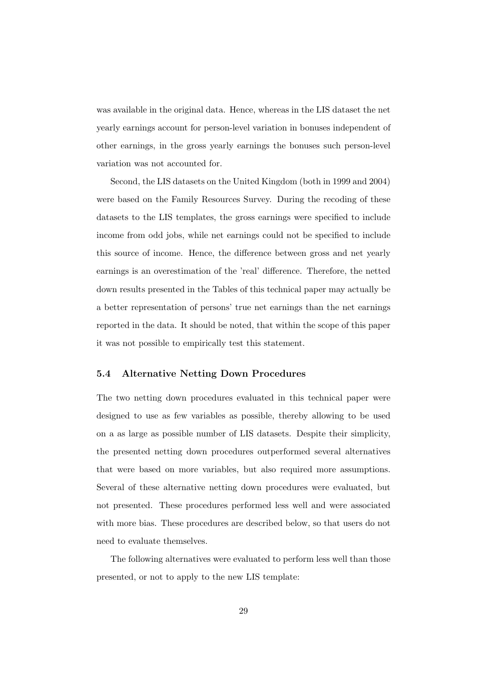was available in the original data. Hence, whereas in the LIS dataset the net yearly earnings account for person-level variation in bonuses independent of other earnings, in the gross yearly earnings the bonuses such person-level variation was not accounted for.

Second, the LIS datasets on the United Kingdom (both in 1999 and 2004) were based on the Family Resources Survey. During the recoding of these datasets to the LIS templates, the gross earnings were specified to include income from odd jobs, while net earnings could not be specified to include this source of income. Hence, the difference between gross and net yearly earnings is an overestimation of the 'real' difference. Therefore, the netted down results presented in the Tables of this technical paper may actually be a better representation of persons' true net earnings than the net earnings reported in the data. It should be noted, that within the scope of this paper it was not possible to empirically test this statement.

#### 5.4 Alternative Netting Down Procedures

The two netting down procedures evaluated in this technical paper were designed to use as few variables as possible, thereby allowing to be used on a as large as possible number of LIS datasets. Despite their simplicity, the presented netting down procedures outperformed several alternatives that were based on more variables, but also required more assumptions. Several of these alternative netting down procedures were evaluated, but not presented. These procedures performed less well and were associated with more bias. These procedures are described below, so that users do not need to evaluate themselves.

The following alternatives were evaluated to perform less well than those presented, or not to apply to the new LIS template: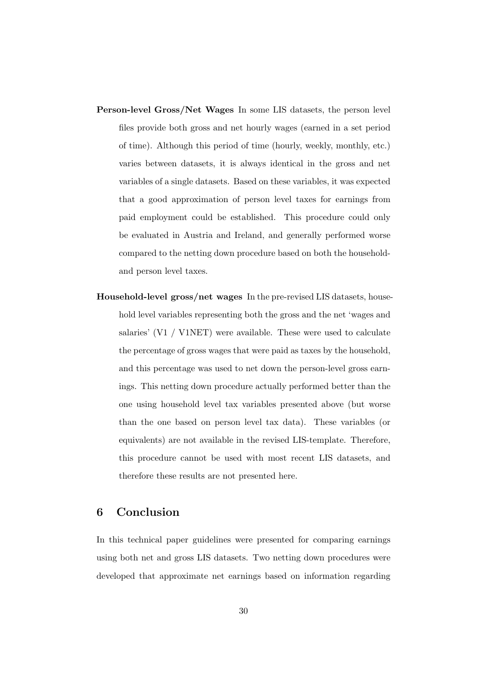- Person-level Gross/Net Wages In some LIS datasets, the person level files provide both gross and net hourly wages (earned in a set period of time). Although this period of time (hourly, weekly, monthly, etc.) varies between datasets, it is always identical in the gross and net variables of a single datasets. Based on these variables, it was expected that a good approximation of person level taxes for earnings from paid employment could be established. This procedure could only be evaluated in Austria and Ireland, and generally performed worse compared to the netting down procedure based on both the householdand person level taxes.
- Household-level gross/net wages In the pre-revised LIS datasets, household level variables representing both the gross and the net 'wages and salaries' (V1 / V1NET) were available. These were used to calculate the percentage of gross wages that were paid as taxes by the household, and this percentage was used to net down the person-level gross earnings. This netting down procedure actually performed better than the one using household level tax variables presented above (but worse than the one based on person level tax data). These variables (or equivalents) are not available in the revised LIS-template. Therefore, this procedure cannot be used with most recent LIS datasets, and therefore these results are not presented here.

## 6 Conclusion

In this technical paper guidelines were presented for comparing earnings using both net and gross LIS datasets. Two netting down procedures were developed that approximate net earnings based on information regarding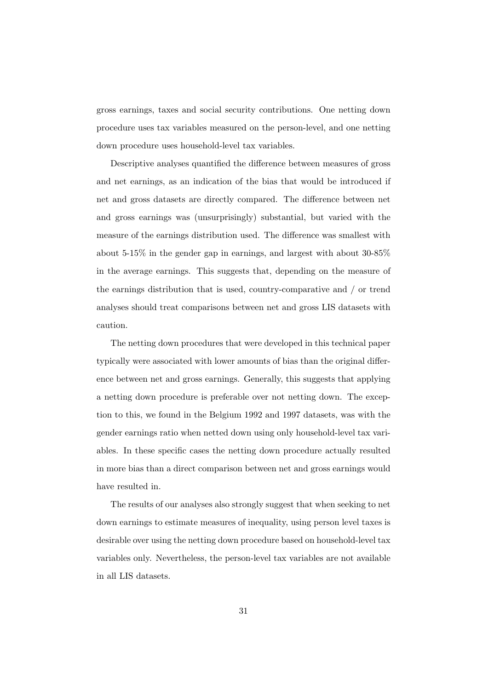gross earnings, taxes and social security contributions. One netting down procedure uses tax variables measured on the person-level, and one netting down procedure uses household-level tax variables.

Descriptive analyses quantified the difference between measures of gross and net earnings, as an indication of the bias that would be introduced if net and gross datasets are directly compared. The difference between net and gross earnings was (unsurprisingly) substantial, but varied with the measure of the earnings distribution used. The difference was smallest with about 5-15% in the gender gap in earnings, and largest with about 30-85% in the average earnings. This suggests that, depending on the measure of the earnings distribution that is used, country-comparative and / or trend analyses should treat comparisons between net and gross LIS datasets with caution.

The netting down procedures that were developed in this technical paper typically were associated with lower amounts of bias than the original difference between net and gross earnings. Generally, this suggests that applying a netting down procedure is preferable over not netting down. The exception to this, we found in the Belgium 1992 and 1997 datasets, was with the gender earnings ratio when netted down using only household-level tax variables. In these specific cases the netting down procedure actually resulted in more bias than a direct comparison between net and gross earnings would have resulted in.

The results of our analyses also strongly suggest that when seeking to net down earnings to estimate measures of inequality, using person level taxes is desirable over using the netting down procedure based on household-level tax variables only. Nevertheless, the person-level tax variables are not available in all LIS datasets.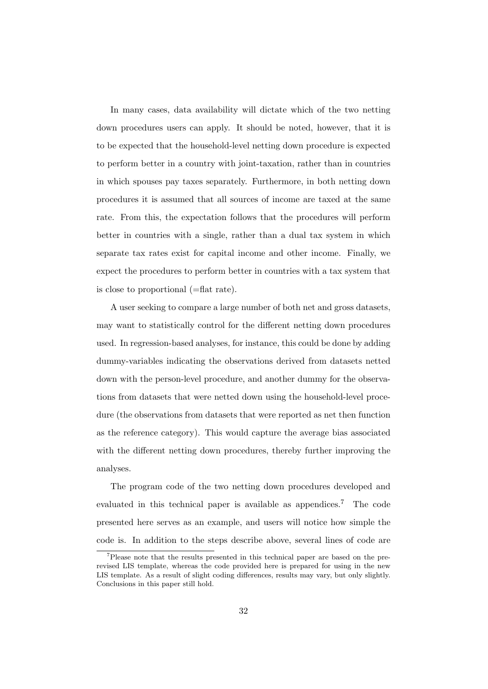In many cases, data availability will dictate which of the two netting down procedures users can apply. It should be noted, however, that it is to be expected that the household-level netting down procedure is expected to perform better in a country with joint-taxation, rather than in countries in which spouses pay taxes separately. Furthermore, in both netting down procedures it is assumed that all sources of income are taxed at the same rate. From this, the expectation follows that the procedures will perform better in countries with a single, rather than a dual tax system in which separate tax rates exist for capital income and other income. Finally, we expect the procedures to perform better in countries with a tax system that is close to proportional (=flat rate).

A user seeking to compare a large number of both net and gross datasets, may want to statistically control for the different netting down procedures used. In regression-based analyses, for instance, this could be done by adding dummy-variables indicating the observations derived from datasets netted down with the person-level procedure, and another dummy for the observations from datasets that were netted down using the household-level procedure (the observations from datasets that were reported as net then function as the reference category). This would capture the average bias associated with the different netting down procedures, thereby further improving the analyses.

The program code of the two netting down procedures developed and evaluated in this technical paper is available as appendices.<sup>7</sup> The code presented here serves as an example, and users will notice how simple the code is. In addition to the steps describe above, several lines of code are

<sup>7</sup>Please note that the results presented in this technical paper are based on the prerevised LIS template, whereas the code provided here is prepared for using in the new LIS template. As a result of slight coding differences, results may vary, but only slightly. Conclusions in this paper still hold.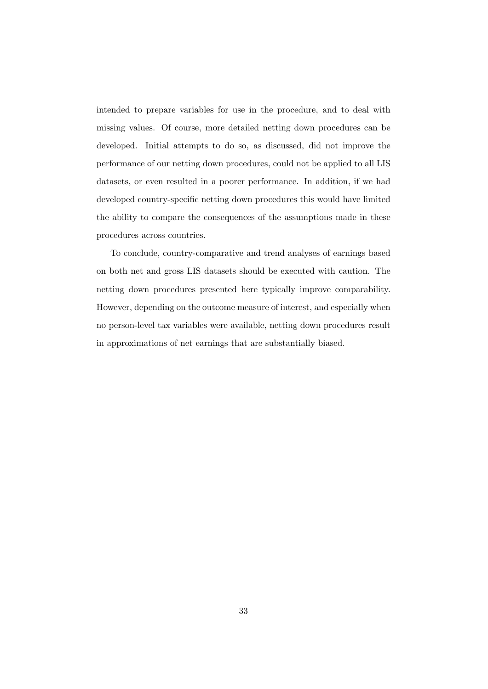intended to prepare variables for use in the procedure, and to deal with missing values. Of course, more detailed netting down procedures can be developed. Initial attempts to do so, as discussed, did not improve the performance of our netting down procedures, could not be applied to all LIS datasets, or even resulted in a poorer performance. In addition, if we had developed country-specific netting down procedures this would have limited the ability to compare the consequences of the assumptions made in these procedures across countries.

To conclude, country-comparative and trend analyses of earnings based on both net and gross LIS datasets should be executed with caution. The netting down procedures presented here typically improve comparability. However, depending on the outcome measure of interest, and especially when no person-level tax variables were available, netting down procedures result in approximations of net earnings that are substantially biased.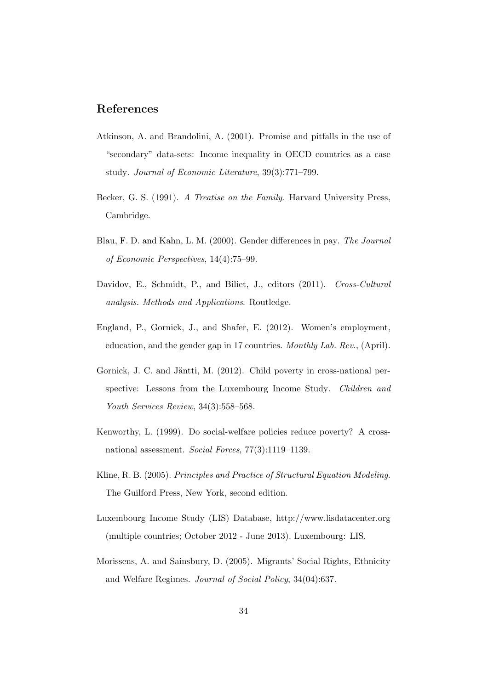## References

- Atkinson, A. and Brandolini, A. (2001). Promise and pitfalls in the use of "secondary" data-sets: Income inequality in OECD countries as a case study. Journal of Economic Literature, 39(3):771–799.
- Becker, G. S. (1991). A Treatise on the Family. Harvard University Press, Cambridge.
- Blau, F. D. and Kahn, L. M. (2000). Gender differences in pay. The Journal of Economic Perspectives, 14(4):75–99.
- Davidov, E., Schmidt, P., and Biliet, J., editors (2011). Cross-Cultural analysis. Methods and Applications. Routledge.
- England, P., Gornick, J., and Shafer, E. (2012). Women's employment, education, and the gender gap in 17 countries. Monthly Lab. Rev., (April).
- Gornick, J. C. and Jäntti, M. (2012). Child poverty in cross-national perspective: Lessons from the Luxembourg Income Study. *Children and* Youth Services Review, 34(3):558–568.
- Kenworthy, L. (1999). Do social-welfare policies reduce poverty? A crossnational assessment. Social Forces, 77(3):1119–1139.
- Kline, R. B. (2005). Principles and Practice of Structural Equation Modeling. The Guilford Press, New York, second edition.
- Luxembourg Income Study (LIS) Database, http://www.lisdatacenter.org (multiple countries; October 2012 - June 2013). Luxembourg: LIS.
- Morissens, A. and Sainsbury, D. (2005). Migrants' Social Rights, Ethnicity and Welfare Regimes. Journal of Social Policy, 34(04):637.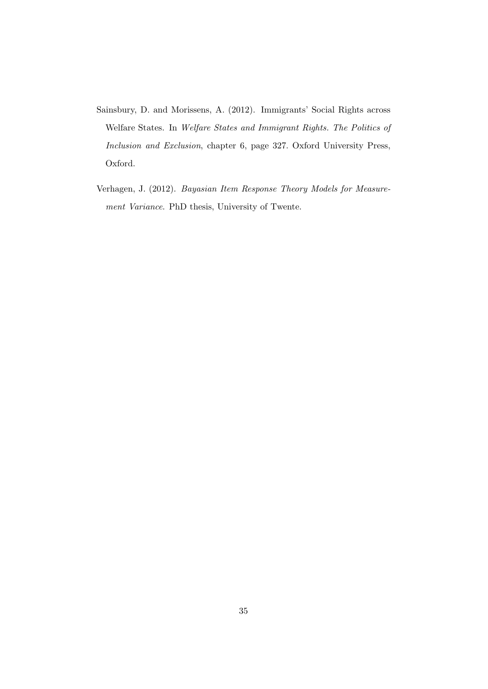- Sainsbury, D. and Morissens, A. (2012). Immigrants' Social Rights across Welfare States. In Welfare States and Immigrant Rights. The Politics of Inclusion and Exclusion, chapter 6, page 327. Oxford University Press, Oxford.
- Verhagen, J. (2012). Bayasian Item Response Theory Models for Measurement Variance. PhD thesis, University of Twente.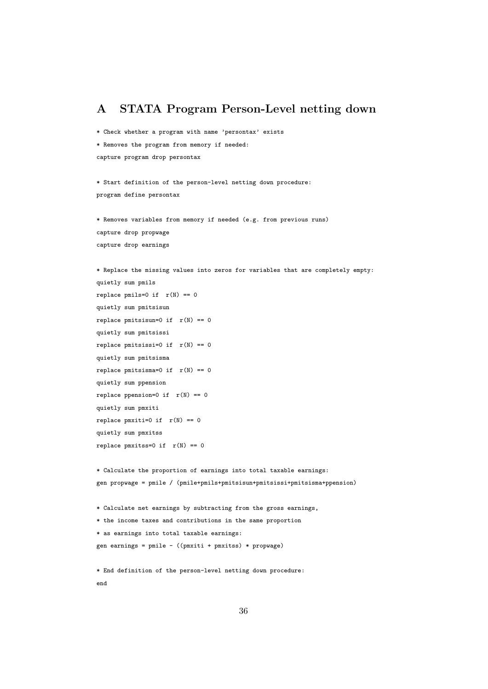## A STATA Program Person-Level netting down

\* Check whether a program with name 'persontax' exists

\* Removes the program from memory if needed:

capture program drop persontax

\* Start definition of the person-level netting down procedure: program define persontax

\* Removes variables from memory if needed (e.g. from previous runs) capture drop propwage capture drop earnings

```
* Replace the missing values into zeros for variables that are completely empty:
quietly sum pmils
replace pmils=0 if r(N) == 0quietly sum pmitsisun
replace pmitsisun=0 if r(N) == 0quietly sum pmitsissi
replace pmitsissi=0 if r(N) == 0quietly sum pmitsisma
replace pmitsisma=0 if r(N) == 0quietly sum ppension
replace ppension=0 if r(N) == 0quietly sum pmxiti
replace pmxiti=0 if r(N) == 0quietly sum pmxitss
replace pmxitss=0 if r(N) == 0* Calculate the proportion of earnings into total taxable earnings:
gen propwage = pmile / (pmile+pmils+pmitsisun+pmitsissi+pmitsisma+ppension)
```
\* Calculate net earnings by subtracting from the gross earnings,

```
* the income taxes and contributions in the same proportion
```
\* as earnings into total taxable earnings:

gen earnings = pmile - ((pmxiti + pmxitss) \* propwage)

```
* End definition of the person-level netting down procedure:
end
```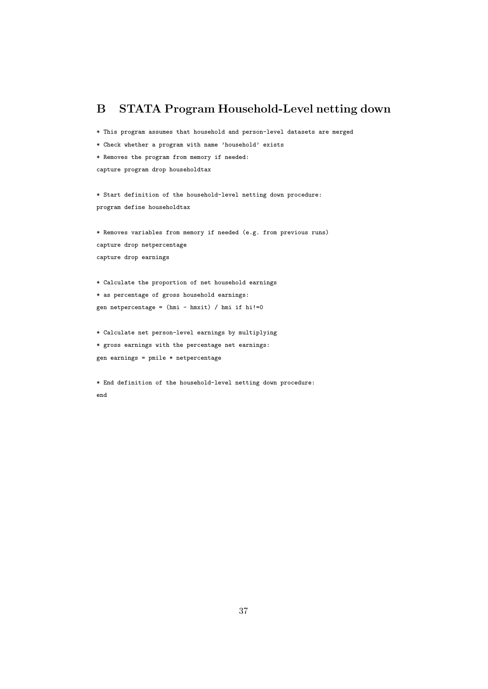## B STATA Program Household-Level netting down

\* This program assumes that household and person-level datasets are merged

```
* Check whether a program with name 'household' exists
```
\* Removes the program from memory if needed:

capture program drop householdtax

\* Start definition of the household-level netting down procedure: program define householdtax

\* Removes variables from memory if needed (e.g. from previous runs) capture drop netpercentage capture drop earnings

\* Calculate the proportion of net household earnings \* as percentage of gross household earnings: gen netpercentage = (hmi - hmxit) / hmi if hi!=0

\* Calculate net person-level earnings by multiplying

\* gross earnings with the percentage net earnings:

gen earnings = pmile \* netpercentage

\* End definition of the household-level netting down procedure: end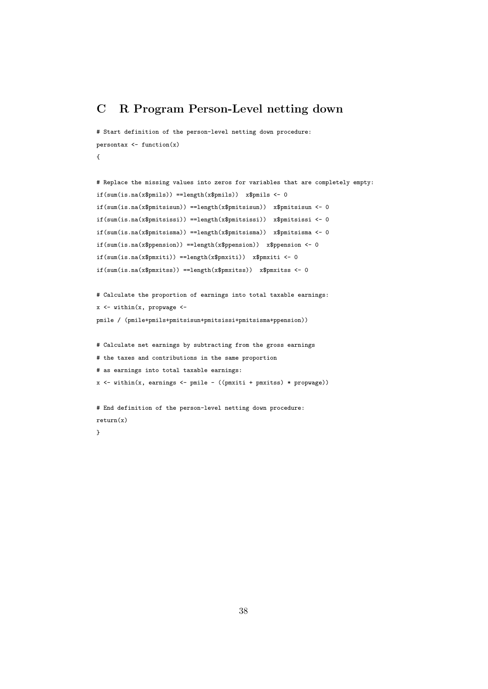## C R Program Person-Level netting down

```
# Start definition of the person-level netting down procedure:
persontax <- function(x)
{
```

```
# Replace the missing values into zeros for variables that are completely empty:
if(sum(is.na(x$pmils)) ==length(x$pmils)) x$pmils <- 0
if(sum(is.na(x$pmitsisun)) ==length(x$pmitsisun)) x$pmitsisun <- 0
if(sum(is.na(x$pmitsissi)) ==length(x$pmitsissi)) x$pmitsissi <- 0
if(sum(is.na(x$pmitsisma)) ==length(x$pmitsisma)) x$pmitsisma <- 0
if(sum(is.na(x$ppension)) ==length(x$ppension)) x$ppension <- 0
if(sum(is.na(x$pmxiti)) ==length(x$pmxiti)) x$pmxiti <- 0
if(sum(is.na(x$pmxitss)) ==length(x$pmxitss)) x$pmxitss <- 0
```

```
# Calculate the proportion of earnings into total taxable earnings:
x \leftarrow \text{within}(x, \text{prop wage} \leftarrowpmile / (pmile+pmils+pmitsisun+pmitsissi+pmitsisma+ppension))
```

```
# Calculate net earnings by subtracting from the gross earnings
# the taxes and contributions in the same proportion
# as earnings into total taxable earnings:
x \leftarrow \text{within}(x, \text{ earnings} \leftarrow \text{pmile} - ((\text{pmxiti} + \text{pmxitss}) * \text{propwage}))
```

```
# End definition of the person-level netting down procedure:
return(x)
```
}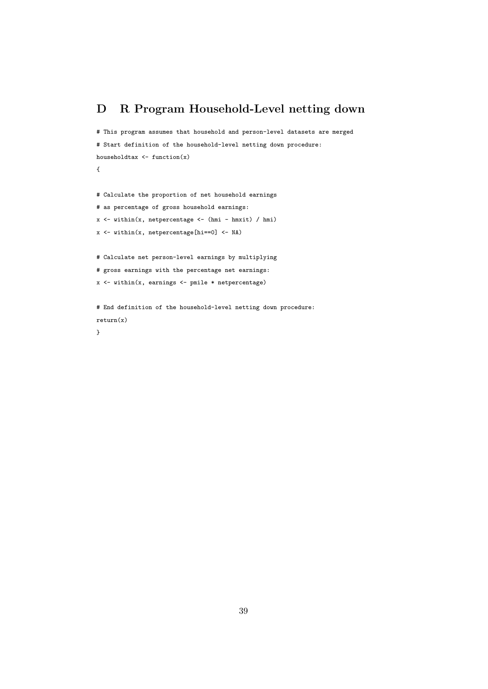## D R Program Household-Level netting down

# This program assumes that household and person-level datasets are merged # Start definition of the household-level netting down procedure: householdtax  $\leftarrow$  function(x) {

# Calculate the proportion of net household earnings

- # as percentage of gross household earnings:
- $x \leftarrow \text{within}(x, \text{ net percentage} \leftarrow (\text{hmi} \text{hmxit}) / \text{hmi})$
- x <- within(x, netpercentage[hi==0] <- NA)

# Calculate net person-level earnings by multiplying

```
# gross earnings with the percentage net earnings:
```

```
x <- within(x, earnings <- pmile * netpercentage)
```
# End definition of the household-level netting down procedure: return(x)

}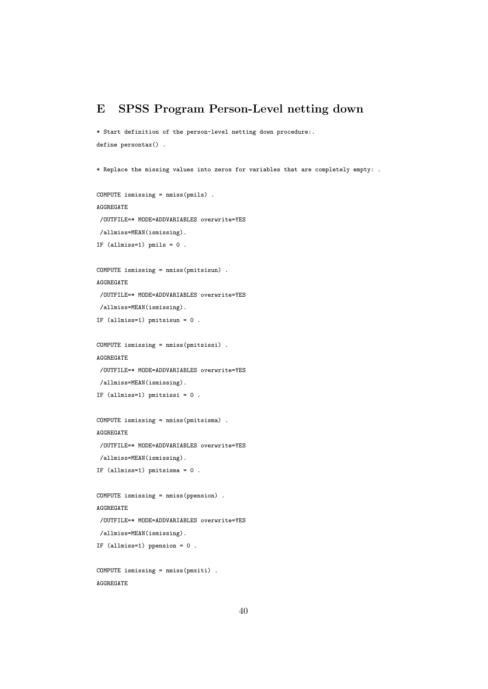## E SPSS Program Person-Level netting down

```
* Start definition of the person-level netting down procedure:.
define persontax() .
```

```
* Replace the missing values into zeros for variables that are completely empty: .
```

```
COMPUTE ismissing = nmiss(pmils) .
AGGREGATE
 /OUTFILE=* MODE=ADDVARIABLES overwrite=YES
/allmiss=MEAN(ismissing).
IF (allmiss=1) pmils = 0.
COMPUTE ismissing = nmiss(pmitsisun) .
AGGREGATE
 /OUTFILE=* MODE=ADDVARIABLES overwrite=YES
 /allmiss=MEAN(ismissing).
IF (allmiss=1) pmitsisun = 0 .
COMPUTE ismissing = nmiss(pmitsissi) .
AGGREGATE
 /OUTFILE=* MODE=ADDVARIABLES overwrite=YES
/allmiss=MEAN(ismissing).
IF (allmiss=1) pmitsissi = 0 .
COMPUTE ismissing = nmiss(pmitsisma) .
AGGREGATE
 /OUTFILE=* MODE=ADDVARIABLES overwrite=YES
 /allmiss=MEAN(ismissing).
IF (allmiss=1) pmitsisma = 0 .
COMPUTE ismissing = nmiss(ppension) .
```

```
AGGREGATE
```

```
/OUTFILE=* MODE=ADDVARIABLES overwrite=YES
/allmiss=MEAN(ismissing).
```

```
IF (allmiss=1) ppension = 0 .
```

```
COMPUTE ismissing = nmiss(pmxiti) .
AGGREGATE
```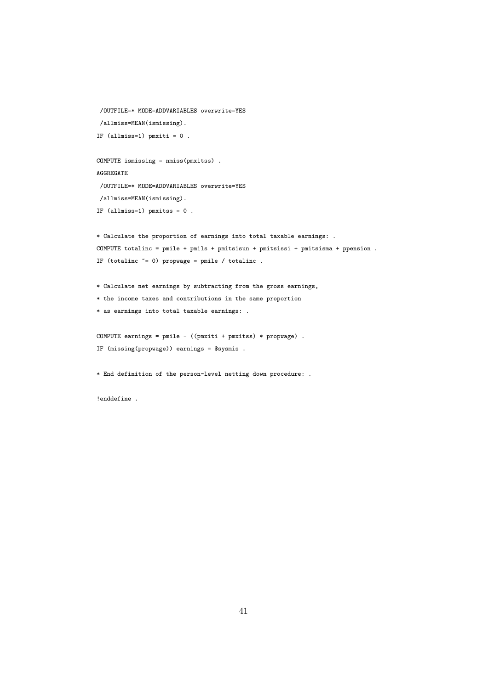```
/OUTFILE=* MODE=ADDVARIABLES overwrite=YES
 /allmiss=MEAN(ismissing).
IF (allmiss=1) pmxiti = 0 .
COMPUTE ismissing = nmiss(pmxitss) .
AGGREGATE
 /OUTFILE=* MODE=ADDVARIABLES overwrite=YES
/allmiss=MEAN(ismissing).
IF (allmiss=1) pmxitss = 0 .
* Calculate the proportion of earnings into total taxable earnings: .
COMPUTE totalinc = pmile + pmils + pmitsisun + pmitsissi + pmitsisma + ppension .
IF (totalinc \tilde{=} 0) propwage = pmile / totalinc.
* Calculate net earnings by subtracting from the gross earnings,
* the income taxes and contributions in the same proportion
* as earnings into total taxable earnings: .
COMPUTE earnings = pmile - ((pmxiti + pmxitss) * propwage) .
```

```
IF (missing(propwage)) earnings = $sysmis .
```
\* End definition of the person-level netting down procedure: .

!enddefine .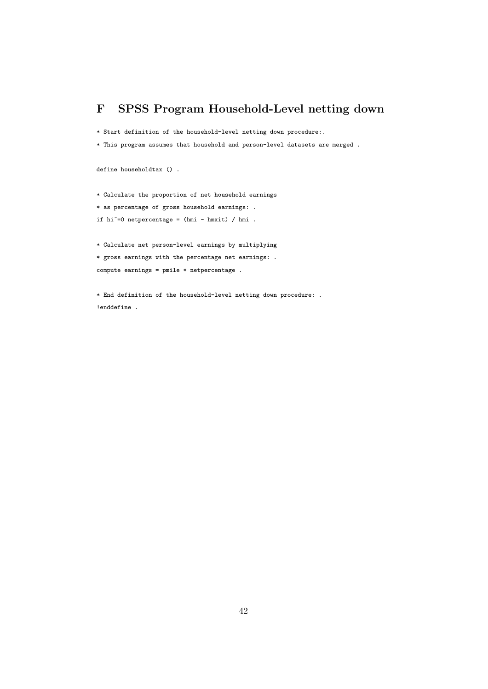## F SPSS Program Household-Level netting down

\* Start definition of the household-level netting down procedure:.

```
* This program assumes that household and person-level datasets are merged .
```
define householdtax () .

\* Calculate the proportion of net household earnings

\* as percentage of gross household earnings: .

```
if hi<sup>=0</sup> netpercentage = (hmi - hmxit) / hmi .
```
\* Calculate net person-level earnings by multiplying \* gross earnings with the percentage net earnings: . compute earnings = pmile \* netpercentage .

\* End definition of the household-level netting down procedure: . !enddefine .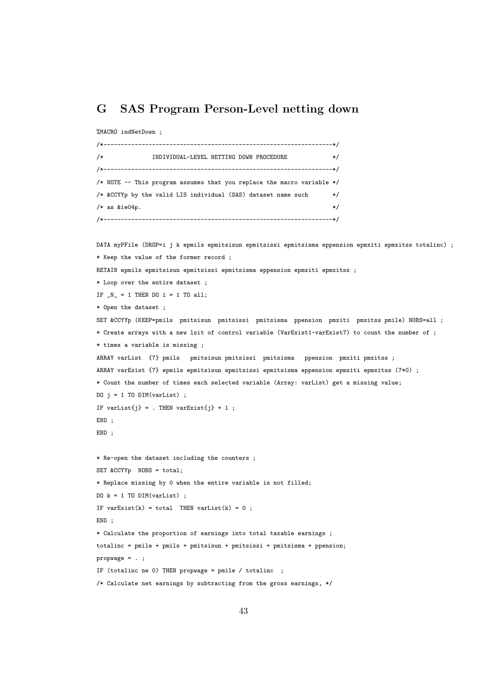## G SAS Program Person-Level netting down

```
%MACRO indNetDown ;
```

```
/*------------------------------------------------------------------*/
/* INDIVIDUAL-LEVEL NETTING DOWN PROCEDURE */
/*------------------------------------------------------------------*/
/* NOTE -- This program assumes that you replace the macro variable */
/* &CCYYp by the valid LIS individual (SAS) dataset name such */
/* as \&i\in 04p. */
/*------------------------------------------------------------------*/
```

```
DATA myPFile (DROP=i j k epmils epmitsisun epmitsissi epmitsisma eppension epmxiti epmxitss totalinc) ;
* Keep the value of the former record ;
RETAIN epmils epmitsisun epmitsissi epmitsisma eppension epmxiti epmxitss ;
* Loop over the entire dataset ;
IF N_ = 1 THEN DO i = 1 TO all;
* Open the dataset ;
SET &CCYYp (KEEP=pmils pmitsisun pmitsissi pmitsisma ppension pmxiti pmxitss pmile) NOBS=all ;
* Create arrays with a new lsit of control variable (VarExist1-varExist7) to count the number of ;
* times a variable is missing ;
ARRAY varList {7} pmils pmitsisun pmitsissi pmitsisma ppension pmxiti pmxitss ;
ARRAY varExist {7} epmils epmitsisun epmitsissi epmitsisma eppension epmxiti epmxitss (7*0) ;
* Count the number of times each selected variable (Array: varList) get a missing value;
DO j = 1 TO DIM(varList) ;
IF varList\{j\} = . THEN varExist\{j\} + 1 ;
END ;
END ;
* Re-open the dataset including the counters ;
SET &CCYYp NOBS = total;
* Replace missing by 0 when the entire variable is not filled;
D0 k = 1 T0 DIM(varList);
IF varExist(k) = total THEN varList(k) = 0 ;
END ;
* Calculate the proportion of earnings into total taxable earnings ;
totalinc = pmile + pmils + pmitsisun + pmitsissi + pmitsisma + ppension;
propwage = . ;
IF (totalinc ne 0) THEN propwage = pmile / totalinc ;
/* Calculate net earnings by subtracting from the gross earnings, */
```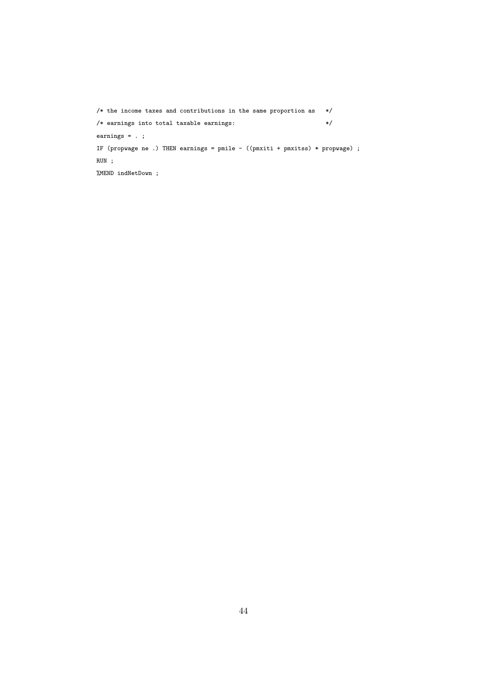```
/* the income taxes and contributions in the same proportion as */
/* earnings into total taxable earnings: */
earnings = . ;
IF (propwage ne .) THEN earnings = pmile - ((pmxiti + pmxitss) * propwage) ;
RUN ;
%MEND indNetDown ;
```